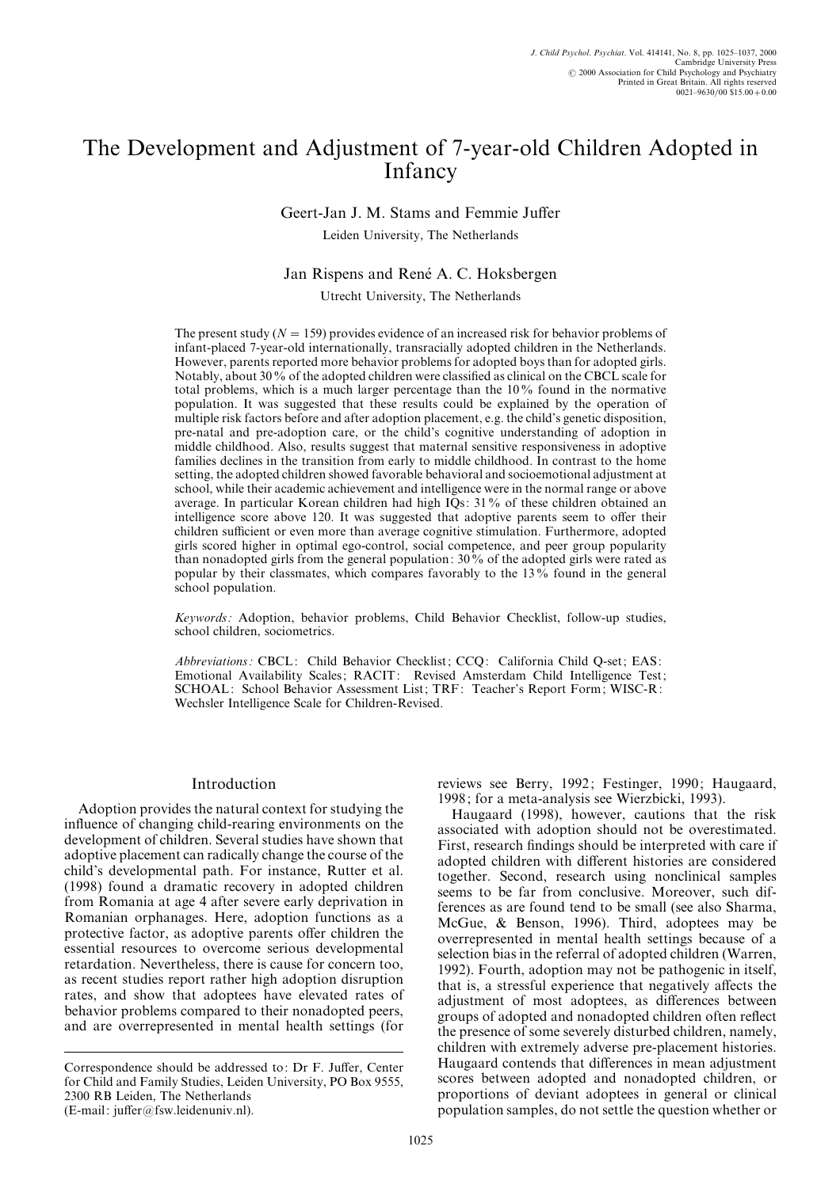# The Development and Adjustment of 7-year-old Children Adopted in Infancy

Geert-Jan J. M. Stams and Femmie Juffer

Leiden University, The Netherlands

# Jan Rispens and René A. C. Hoksbergen

Utrecht University, The Netherlands

The present study ( $N = 159$ ) provides evidence of an increased risk for behavior problems of infant-placed 7-year-old internationally, transracially adopted children in the Netherlands. However, parents reported more behavior problems for adopted boys than for adopted girls. Notably, about 30% of the adopted children were classified as clinical on the CBCL scale for total problems, which is a much larger percentage than the 10% found in the normative population. It was suggested that these results could be explained by the operation of multiple risk factors before and after adoption placement, e.g. the child's genetic disposition, pre-natal and pre-adoption care, or the child's cognitive understanding of adoption in middle childhood. Also, results suggest that maternal sensitive responsiveness in adoptive families declines in the transition from early to middle childhood. In contrast to the home setting, the adopted children showed favorable behavioral and socioemotional adjustment at school, while their academic achievement and intelligence were in the normal range or above average. In particular Korean children had high IQs: 31% of these children obtained an intelligence score above 120. It was suggested that adoptive parents seem to offer their children sufficient or even more than average cognitive stimulation. Furthermore, adopted girls scored higher in optimal ego-control, social competence, and peer group popularity than nonadopted girls from the general population: 30% of the adopted girls were rated as popular by their classmates, which compares favorably to the 13% found in the general school population.

*Keywords :* Adoption, behavior problems, Child Behavior Checklist, follow-up studies, school children, sociometrics.

*Abbreviations :* CBCL: Child Behavior Checklist; CCQ: California Child Q-set; EAS: Emotional Availability Scales; RACIT: Revised Amsterdam Child Intelligence Test; SCHOAL: School Behavior Assessment List; TRF: Teacher's Report Form; WISC-R: Wechsler Intelligence Scale for Children-Revised.

# Introduction

Adoption provides the natural context for studying the influence of changing child-rearing environments on the development of children. Several studies have shown that adoptive placement can radically change the course of the child's developmental path. For instance, Rutter et al. (1998) found a dramatic recovery in adopted children from Romania at age 4 after severe early deprivation in Romanian orphanages. Here, adoption functions as a protective factor, as adoptive parents offer children the essential resources to overcome serious developmental retardation. Nevertheless, there is cause for concern too, as recent studies report rather high adoption disruption rates, and show that adoptees have elevated rates of behavior problems compared to their nonadopted peers, and are overrepresented in mental health settings (for

reviews see Berry, 1992; Festinger, 1990; Haugaard, 1998; for a meta-analysis see Wierzbicki, 1993).

Haugaard (1998), however, cautions that the risk associated with adoption should not be overestimated. First, research findings should be interpreted with care if adopted children with different histories are considered together. Second, research using nonclinical samples seems to be far from conclusive. Moreover, such differences as are found tend to be small (see also Sharma, McGue, & Benson, 1996). Third, adoptees may be overrepresented in mental health settings because of a selection bias in the referral of adopted children (Warren, 1992). Fourth, adoption may not be pathogenic in itself, that is, a stressful experience that negatively affects the adjustment of most adoptees, as differences between groups of adopted and nonadopted children often reflect the presence of some severely disturbed children, namely, children with extremely adverse pre-placement histories. Haugaard contends that differences in mean adjustment scores between adopted and nonadopted children, or proportions of deviant adoptees in general or clinical population samples, do not settle the question whether or

Correspondence should be addressed to: Dr F. Juffer, Center for Child and Family Studies, Leiden University, PO Box 9555, 2300 RB Leiden, The Netherlands (E-mail: juffer@fsw.leidenuniv.nl).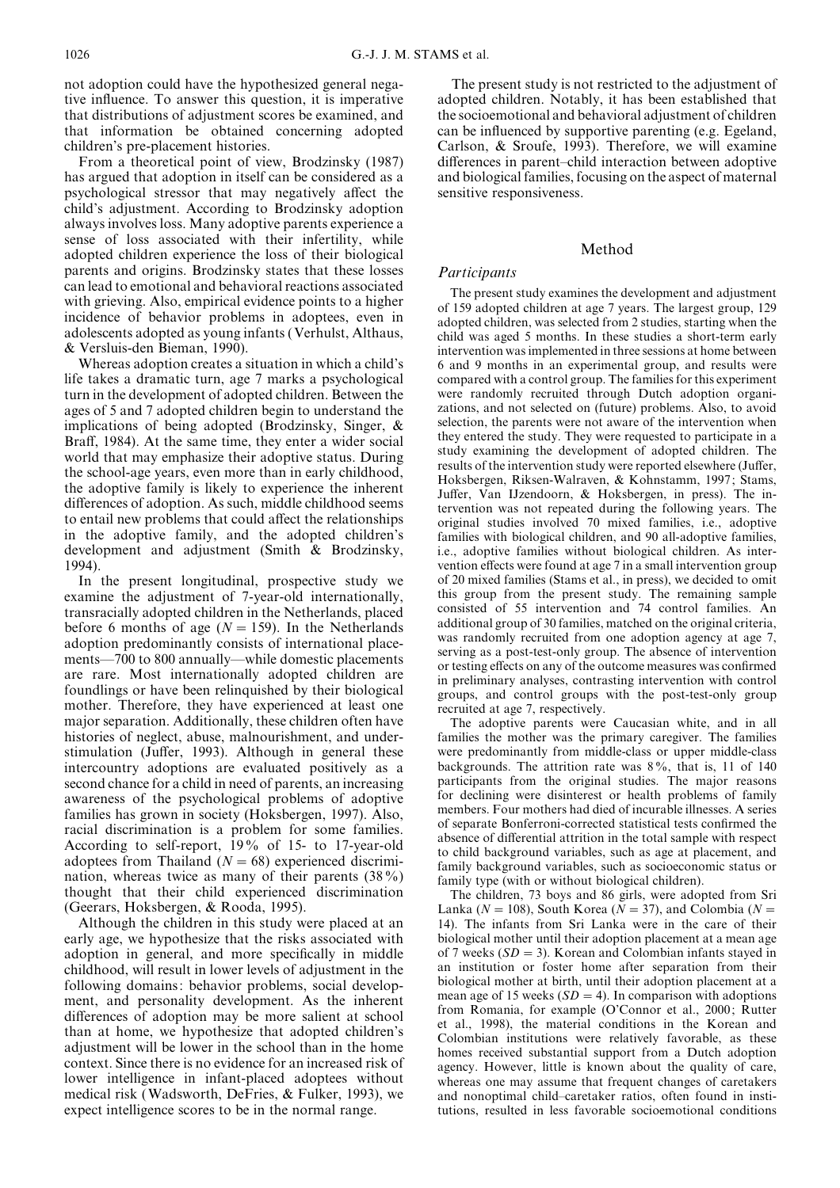not adoption could have the hypothesized general negative influence. To answer this question, it is imperative that distributions of adjustment scores be examined, and that information be obtained concerning adopted children's pre-placement histories.

From a theoretical point of view, Brodzinsky (1987) has argued that adoption in itself can be considered as a psychological stressor that may negatively affect the child's adjustment. According to Brodzinsky adoption always involves loss. Many adoptive parents experience a sense of loss associated with their infertility, while adopted children experience the loss of their biological parents and origins. Brodzinsky states that these losses can lead to emotional and behavioral reactions associated with grieving. Also, empirical evidence points to a higher incidence of behavior problems in adoptees, even in adolescents adopted as young infants (Verhulst, Althaus, & Versluis-den Bieman, 1990).

Whereas adoption creates a situation in which a child's life takes a dramatic turn, age 7 marks a psychological turn in the development of adopted children. Between the ages of 5 and 7 adopted children begin to understand the implications of being adopted (Brodzinsky, Singer, & Braff, 1984). At the same time, they enter a wider social world that may emphasize their adoptive status. During the school-age years, even more than in early childhood, the adoptive family is likely to experience the inherent differences of adoption. As such, middle childhood seems to entail new problems that could affect the relationships in the adoptive family, and the adopted children's development and adjustment (Smith & Brodzinsky, 1994).

In the present longitudinal, prospective study we examine the adjustment of 7-year-old internationally, transracially adopted children in the Netherlands, placed before 6 months of age ( $N = 159$ ). In the Netherlands adoption predominantly consists of international placements—700 to 800 annually—while domestic placements are rare. Most internationally adopted children are foundlings or have been relinquished by their biological mother. Therefore, they have experienced at least one major separation. Additionally, these children often have histories of neglect, abuse, malnourishment, and understimulation (Juffer, 1993). Although in general these intercountry adoptions are evaluated positively as a second chance for a child in need of parents, an increasing awareness of the psychological problems of adoptive families has grown in society (Hoksbergen, 1997). Also, racial discrimination is a problem for some families. According to self-report, 19% of 15- to 17-year-old adoptees from Thailand  $(N = 68)$  experienced discrimination, whereas twice as many of their parents  $(38\%)$ thought that their child experienced discrimination (Geerars, Hoksbergen, & Rooda, 1995).

Although the children in this study were placed at an early age, we hypothesize that the risks associated with adoption in general, and more specifically in middle childhood, will result in lower levels of adjustment in the following domains: behavior problems, social development, and personality development. As the inherent differences of adoption may be more salient at school than at home, we hypothesize that adopted children's adjustment will be lower in the school than in the home context. Since there is no evidence for an increased risk of lower intelligence in infant-placed adoptees without medical risk (Wadsworth, DeFries, & Fulker, 1993), we expect intelligence scores to be in the normal range.

The present study is not restricted to the adjustment of adopted children. Notably, it has been established that the socioemotional and behavioral adjustment of children can be influenced by supportive parenting (e.g. Egeland, Carlson, & Sroufe, 1993). Therefore, we will examine differences in parent–child interaction between adoptive and biological families, focusing on the aspect of maternal sensitive responsiveness.

# Method

# *Participants*

The present study examines the development and adjustment of 159 adopted children at age 7 years. The largest group, 129 adopted children, was selected from 2 studies, starting when the child was aged 5 months. In these studies a short-term early intervention was implemented in three sessions at home between 6 and 9 months in an experimental group, and results were compared with a control group. The families for this experiment were randomly recruited through Dutch adoption organizations, and not selected on (future) problems. Also, to avoid selection, the parents were not aware of the intervention when they entered the study. They were requested to participate in a study examining the development of adopted children. The results of the intervention study were reported elsewhere (Juffer, Hoksbergen, Riksen-Walraven, & Kohnstamm, 1997; Stams, Juffer, Van IJzendoorn, & Hoksbergen, in press). The intervention was not repeated during the following years. The original studies involved 70 mixed families, i.e., adoptive families with biological children, and 90 all-adoptive families, i.e., adoptive families without biological children. As intervention effects were found at age 7 in a small intervention group of 20 mixed families (Stams et al., in press), we decided to omit this group from the present study. The remaining sample consisted of 55 intervention and 74 control families. An additional group of 30 families, matched on the original criteria, was randomly recruited from one adoption agency at age 7, serving as a post-test-only group. The absence of intervention or testing effects on any of the outcome measures was confirmed in preliminary analyses, contrasting intervention with control groups, and control groups with the post-test-only group recruited at age 7, respectively.

The adoptive parents were Caucasian white, and in all families the mother was the primary caregiver. The families were predominantly from middle-class or upper middle-class backgrounds. The attrition rate was 8%, that is, 11 of 140 participants from the original studies. The major reasons for declining were disinterest or health problems of family members. Four mothers had died of incurable illnesses. A series of separate Bonferroni-corrected statistical tests confirmed the absence of differential attrition in the total sample with respect to child background variables, such as age at placement, and family background variables, such as socioeconomic status or family type (with or without biological children).

The children, 73 boys and 86 girls, were adopted from Sri Lanka ( $N = 108$ ), South Korea ( $N = 37$ ), and Colombia ( $N =$ 14). The infants from Sri Lanka were in the care of their biological mother until their adoption placement at a mean age of 7 weeks  $(SD = 3)$ . Korean and Colombian infants stayed in an institution or foster home after separation from their biological mother at birth, until their adoption placement at a mean age of 15 weeks  $(SD = 4)$ . In comparison with adoptions from Romania, for example (O'Connor et al., 2000; Rutter et al., 1998), the material conditions in the Korean and Colombian institutions were relatively favorable, as these homes received substantial support from a Dutch adoption agency. However, little is known about the quality of care, whereas one may assume that frequent changes of caretakers and nonoptimal child–caretaker ratios, often found in institutions, resulted in less favorable socioemotional conditions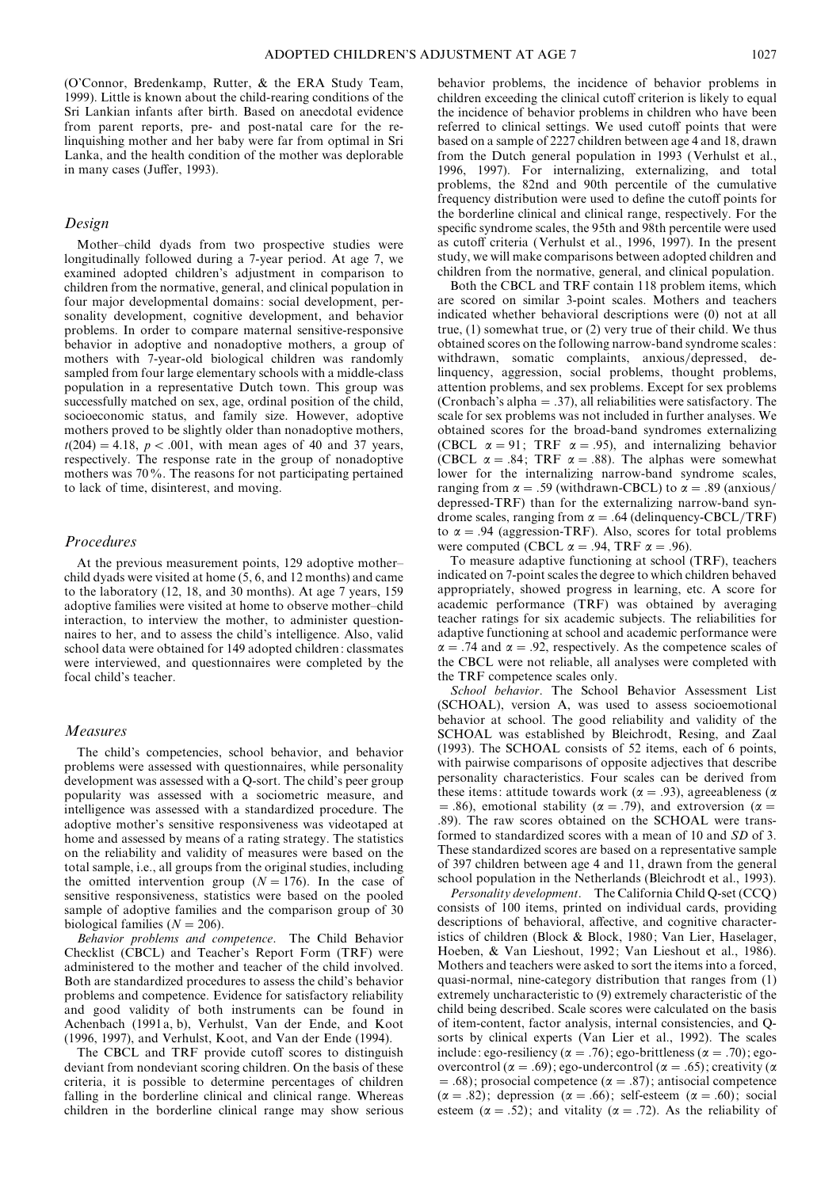(O'Connor, Bredenkamp, Rutter, & the ERA Study Team, 1999). Little is known about the child-rearing conditions of the Sri Lankian infants after birth. Based on anecdotal evidence from parent reports, pre- and post-natal care for the relinquishing mother and her baby were far from optimal in Sri Lanka, and the health condition of the mother was deplorable in many cases (Juffer, 1993).

# *Design*

Mother–child dyads from two prospective studies were longitudinally followed during a 7-year period. At age 7, we examined adopted children's adjustment in comparison to children from the normative, general, and clinical population in four major developmental domains: social development, personality development, cognitive development, and behavior problems. In order to compare maternal sensitive-responsive behavior in adoptive and nonadoptive mothers, a group of mothers with 7-year-old biological children was randomly sampled from four large elementary schools with a middle-class population in a representative Dutch town. This group was successfully matched on sex, age, ordinal position of the child, socioeconomic status, and family size. However, adoptive mothers proved to be slightly older than nonadoptive mothers,  $t(204) = 4.18$ ,  $p < .001$ , with mean ages of 40 and 37 years, respectively. The response rate in the group of nonadoptive mothers was 70%. The reasons for not participating pertained to lack of time, disinterest, and moving.

### *Procedures*

At the previous measurement points, 129 adoptive mother– child dyads were visited at home (5, 6, and 12 months) and came to the laboratory (12, 18, and 30 months). At age 7 years, 159 adoptive families were visited at home to observe mother–child interaction, to interview the mother, to administer questionnaires to her, and to assess the child's intelligence. Also, valid school data were obtained for 149 adopted children: classmates were interviewed, and questionnaires were completed by the focal child's teacher.

### *Measures*

The child's competencies, school behavior, and behavior problems were assessed with questionnaires, while personality development was assessed with a Q-sort. The child's peer group popularity was assessed with a sociometric measure, and intelligence was assessed with a standardized procedure. The adoptive mother's sensitive responsiveness was videotaped at home and assessed by means of a rating strategy. The statistics on the reliability and validity of measures were based on the total sample, i.e., all groups from the original studies, including the omitted intervention group  $(N = 176)$ . In the case of sensitive responsiveness, statistics were based on the pooled sample of adoptive families and the comparison group of 30 biological families  $(N = 206)$ .

*Behavior problems and competence*. The Child Behavior Checklist (CBCL) and Teacher's Report Form (TRF) were administered to the mother and teacher of the child involved. Both are standardized procedures to assess the child's behavior problems and competence. Evidence for satisfactory reliability and good validity of both instruments can be found in Achenbach (1991 a, b), Verhulst, Van der Ende, and Koot (1996, 1997), and Verhulst, Koot, and Van der Ende (1994).

The CBCL and TRF provide cutoff scores to distinguish deviant from nondeviant scoring children. On the basis of these criteria, it is possible to determine percentages of children falling in the borderline clinical and clinical range. Whereas children in the borderline clinical range may show serious

behavior problems, the incidence of behavior problems in children exceeding the clinical cutoff criterion is likely to equal the incidence of behavior problems in children who have been referred to clinical settings. We used cutoff points that were based on a sample of 2227 children between age 4 and 18, drawn from the Dutch general population in 1993 (Verhulst et al., 1996, 1997). For internalizing, externalizing, and total problems, the 82nd and 90th percentile of the cumulative frequency distribution were used to define the cutoff points for the borderline clinical and clinical range, respectively. For the specific syndrome scales, the 95th and 98th percentile were used as cutoff criteria (Verhulst et al., 1996, 1997). In the present study, we will make comparisons between adopted children and children from the normative, general, and clinical population.

Both the CBCL and TRF contain 118 problem items, which are scored on similar 3-point scales. Mothers and teachers indicated whether behavioral descriptions were (0) not at all true, (1) somewhat true, or (2) very true of their child. We thus obtained scores on the following narrow-band syndrome scales: withdrawn, somatic complaints, anxious/depressed, delinquency, aggression, social problems, thought problems, attention problems, and sex problems. Except for sex problems (Cronbach's alpha =  $.37$ ), all reliabilities were satisfactory. The scale for sex problems was not included in further analyses. We obtained scores for the broad-band syndromes externalizing (CBCL  $\alpha = 91$ ; TRF  $\alpha = .95$ ), and internalizing behavior (CBCL  $\alpha = .84$ ; TRF  $\alpha = .88$ ). The alphas were somewhat lower for the internalizing narrow-band syndrome scales, ranging from  $\alpha = .59$  (withdrawn-CBCL) to  $\alpha = .89$  (anxious/ depressed-TRF) than for the externalizing narrow-band syndrome scales, ranging from  $\alpha = .64$  (delinquency-CBCL/TRF) to  $\alpha = .94$  (aggression-TRF). Also, scores for total problems were computed (CBCL  $\alpha = .94$ , TRF  $\alpha = .96$ ).

To measure adaptive functioning at school (TRF), teachers indicated on 7-point scales the degree to which children behaved appropriately, showed progress in learning, etc. A score for academic performance (TRF) was obtained by averaging teacher ratings for six academic subjects. The reliabilities for adaptive functioning at school and academic performance were  $\alpha = .74$  and  $\alpha = .92$ , respectively. As the competence scales of the CBCL were not reliable, all analyses were completed with the TRF competence scales only.

*School behavior*. The School Behavior Assessment List (SCHOAL), version A, was used to assess socioemotional behavior at school. The good reliability and validity of the SCHOAL was established by Bleichrodt, Resing, and Zaal (1993). The SCHOAL consists of 52 items, each of 6 points, with pairwise comparisons of opposite adjectives that describe personality characteristics. Four scales can be derived from these items: attitude towards work ( $\alpha = .93$ ), agreeableness ( $\alpha$  $= 0.86$ , emotional stability ( $\alpha = .79$ ), and extroversion ( $\alpha =$ ±89). The raw scores obtained on the SCHOAL were transformed to standardized scores with a mean of 10 and *SD* of 3. These standardized scores are based on a representative sample of 397 children between age 4 and 11, drawn from the general school population in the Netherlands (Bleichrodt et al., 1993).

*Personality development*. The California Child Q-set (CCQ ) consists of 100 items, printed on individual cards, providing descriptions of behavioral, affective, and cognitive characteristics of children (Block & Block, 1980; Van Lier, Haselager, Hoeben, & Van Lieshout, 1992; Van Lieshout et al., 1986). Mothers and teachers were asked to sort the items into a forced, quasi-normal, nine-category distribution that ranges from (1) extremely uncharacteristic to (9) extremely characteristic of the child being described. Scale scores were calculated on the basis of item-content, factor analysis, internal consistencies, and Qsorts by clinical experts (Van Lier et al., 1992). The scales include: ego-resiliency ( $\alpha = .76$ ); ego-brittleness ( $\alpha = .70$ ); egoovercontrol ( $\alpha = .69$ ); ego-undercontrol ( $\alpha = .65$ ); creativity ( $\alpha$  $= .68$ ; prosocial competence ( $\alpha = .87$ ); antisocial competence  $(\alpha = .82)$ ; depression  $(\alpha = .66)$ ; self-esteem  $(\alpha = .60)$ ; social esteem ( $\alpha = .52$ ); and vitality ( $\alpha = .72$ ). As the reliability of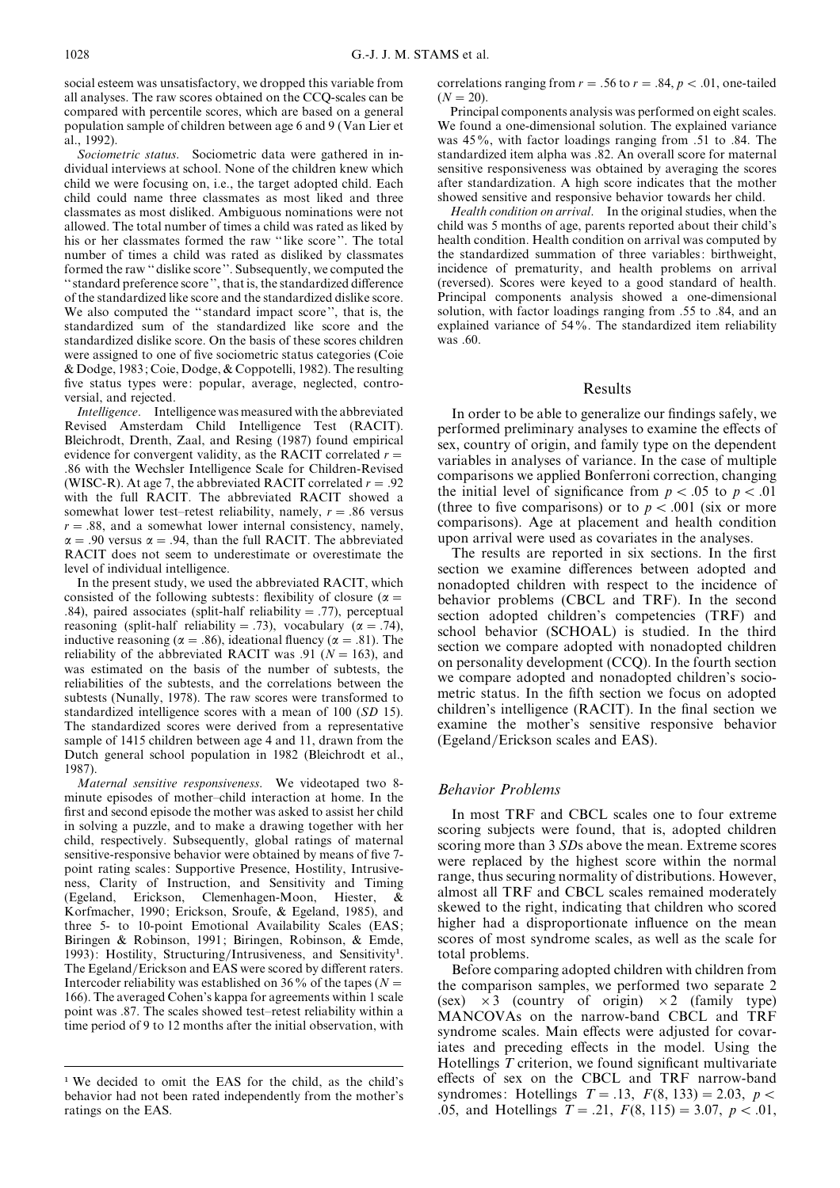social esteem was unsatisfactory, we dropped this variable from all analyses. The raw scores obtained on the CCQ-scales can be compared with percentile scores, which are based on a general population sample of children between age 6 and 9 (Van Lier et al., 1992).

*Sociometric status*. Sociometric data were gathered in individual interviews at school. None of the children knew which child we were focusing on, i.e., the target adopted child. Each child could name three classmates as most liked and three classmates as most disliked. Ambiguous nominations were not allowed. The total number of times a child was rated as liked by his or her classmates formed the raw ''like score''. The total number of times a child was rated as disliked by classmates formed the raw ''dislike score''. Subsequently, we computed the '' standard preference score'', that is, the standardized difference of the standardized like score and the standardized dislike score. We also computed the '' standard impact score'', that is, the standardized sum of the standardized like score and the standardized dislike score. On the basis of these scores children were assigned to one of five sociometric status categories (Coie & Dodge, 1983; Coie, Dodge, & Coppotelli, 1982). The resulting five status types were: popular, average, neglected, controversial, and rejected.

*Intelligence*. Intelligence was measured with the abbreviated Revised Amsterdam Child Intelligence Test (RACIT). Bleichrodt, Drenth, Zaal, and Resing (1987) found empirical evidence for convergent validity, as the RACIT correlated  $r =$ ±86 with the Wechsler Intelligence Scale for Children-Revised (WISC-R). At age 7, the abbreviated RACIT correlated  $r = .92$ with the full RACIT. The abbreviated RACIT showed a somewhat lower test–retest reliability, namely,  $r = .86$  versus  $r = .88$ , and a somewhat lower internal consistency, namely,  $\alpha = .90$  versus  $\alpha = .94$ , than the full RACIT. The abbreviated RACIT does not seem to underestimate or overestimate the level of individual intelligence.

In the present study, we used the abbreviated RACIT, which consisted of the following subtests: flexibility of closure ( $\alpha =$  $.84$ ), paired associates (split-half reliability =  $.77$ ), perceptual reasoning (split-half reliability = .73), vocabulary ( $\alpha = .74$ ), inductive reasoning ( $\alpha = .86$ ), ideational fluency ( $\alpha = .81$ ). The reliability of the abbreviated RACIT was .91 ( $N = 163$ ), and was estimated on the basis of the number of subtests, the reliabilities of the subtests, and the correlations between the subtests (Nunally, 1978). The raw scores were transformed to standardized intelligence scores with a mean of 100 (*SD* 15). The standardized scores were derived from a representative sample of 1415 children between age 4 and 11, drawn from the Dutch general school population in 1982 (Bleichrodt et al., 1987).

*Maternal sensitive responsiveness*. We videotaped two 8 minute episodes of mother–child interaction at home. In the first and second episode the mother was asked to assist her child in solving a puzzle, and to make a drawing together with her child, respectively. Subsequently, global ratings of maternal sensitive-responsive behavior were obtained by means of five 7 point rating scales: Supportive Presence, Hostility, Intrusiveness, Clarity of Instruction, and Sensitivity and Timing (Egeland, Erickson, Clemenhagen-Moon, Hiester, & Korfmacher, 1990; Erickson, Sroufe, & Egeland, 1985), and three 5- to 10-point Emotional Availability Scales (EAS; Biringen & Robinson, 1991; Biringen, Robinson, & Emde, 1993): Hostility, Structuring/Intrusiveness, and Sensitivity<sup>1</sup>. The Egeland/Erickson and EAS were scored by different raters. Intercoder reliability was established on 36% of the tapes ( $N =$ 166). The averaged Cohen's kappa for agreements within 1 scale point was .87. The scales showed test-retest reliability within a time period of 9 to 12 months after the initial observation, with

correlations ranging from  $r = .56$  to  $r = .84$ ,  $p < .01$ , one-tailed  $(N = 20)$ .

Principal components analysis was performed on eight scales. We found a one-dimensional solution. The explained variance was  $45\%$ , with factor loadings ranging from  $.51$  to  $.84$ . The standardized item alpha was  $.82$ . An overall score for maternal sensitive responsiveness was obtained by averaging the scores after standardization. A high score indicates that the mother showed sensitive and responsive behavior towards her child.

*Health condition on arrival*. In the original studies, when the child was 5 months of age, parents reported about their child's health condition. Health condition on arrival was computed by the standardized summation of three variables: birthweight, incidence of prematurity, and health problems on arrival (reversed). Scores were keyed to a good standard of health. Principal components analysis showed a one-dimensional solution, with factor loadings ranging from .55 to .84, and an explained variance of 54%. The standardized item reliability was  $.60.$ 

### Results

In order to be able to generalize our findings safely, we performed preliminary analyses to examine the effects of sex, country of origin, and family type on the dependent variables in analyses of variance. In the case of multiple comparisons we applied Bonferroni correction, changing the initial level of significance from  $p < .05$  to  $p < .01$ (three to five comparisons) or to  $p < .001$  (six or more comparisons). Age at placement and health condition upon arrival were used as covariates in the analyses.

The results are reported in six sections. In the first section we examine differences between adopted and nonadopted children with respect to the incidence of behavior problems (CBCL and TRF). In the second section adopted children's competencies (TRF) and school behavior (SCHOAL) is studied. In the third section we compare adopted with nonadopted children on personality development (CCQ). In the fourth section we compare adopted and nonadopted children's sociometric status. In the fifth section we focus on adopted children's intelligence (RACIT). In the final section we examine the mother's sensitive responsive behavior (Egeland}Erickson scales and EAS).

### *Behavior Problems*

In most TRF and CBCL scales one to four extreme scoring subjects were found, that is, adopted children scoring more than 3 *SD*s above the mean. Extreme scores were replaced by the highest score within the normal range, thus securing normality of distributions. However, almost all TRF and CBCL scales remained moderately skewed to the right, indicating that children who scored higher had a disproportionate influence on the mean scores of most syndrome scales, as well as the scale for total problems.

Before comparing adopted children with children from the comparison samples, we performed two separate 2 (sex)  $\times$  3 (country of origin)  $\times$  2 (family type) MANCOVAs on the narrow-band CBCL and TRF syndrome scales. Main effects were adjusted for covariates and preceding effects in the model. Using the Hotellings *T* criterion, we found significant multivariate effects of sex on the CBCL and TRF narrow-band syndromes: Hotellings  $T = .13$ ,  $F(8, 133) = 2.03$ ,  $p <$  $\overline{0.05}$ , and Hotellings  $\overline{T} = .21$ ,  $F(8, 115) = 3.07$ ,  $p < .01$ ,

<sup>&</sup>lt;sup>1</sup> We decided to omit the EAS for the child, as the child's behavior had not been rated independently from the mother's ratings on the EAS.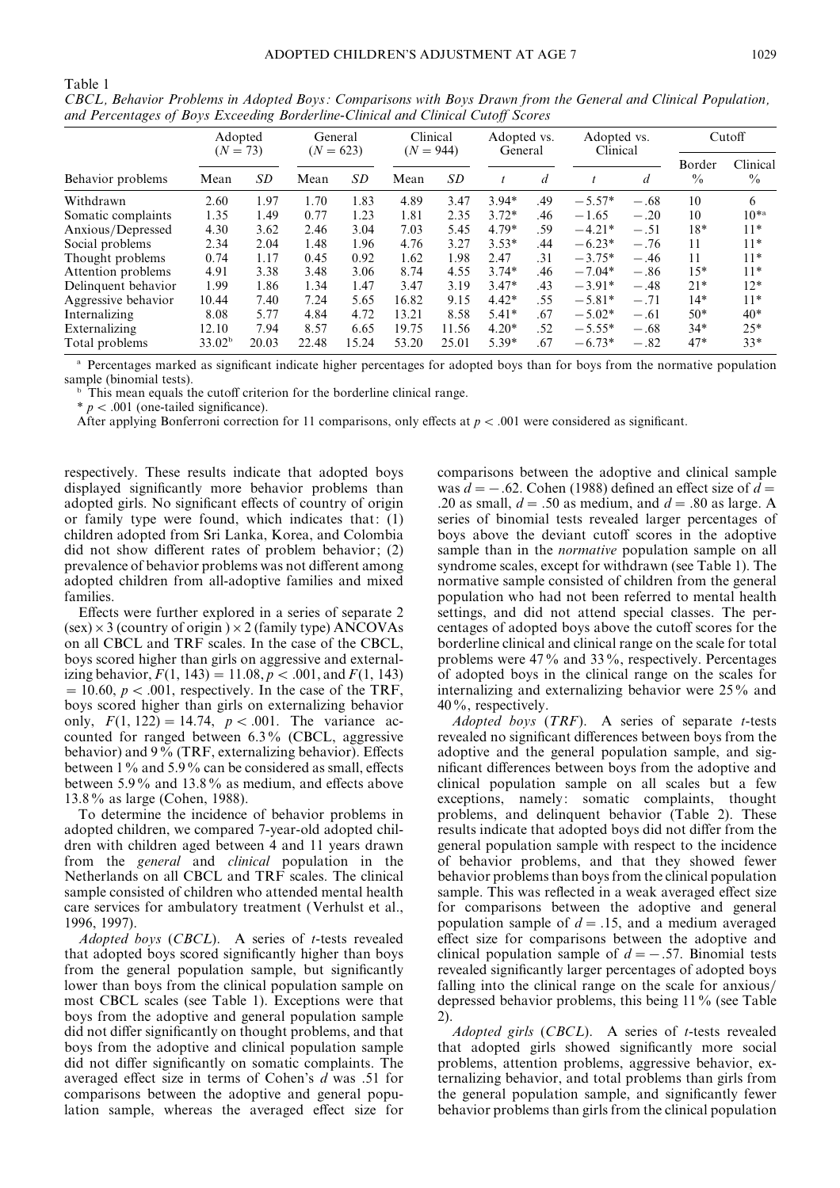| ana Percentages of Boys Exceeding Borderline-Clinical and Clinical Cutoff Scores |                       |       |                        |       |                         |       |                        |     |                         |        |                         |                           |
|----------------------------------------------------------------------------------|-----------------------|-------|------------------------|-------|-------------------------|-------|------------------------|-----|-------------------------|--------|-------------------------|---------------------------|
|                                                                                  | Adopted<br>$(N = 73)$ |       | General<br>$(N = 623)$ |       | Clinical<br>$(N = 944)$ |       | Adopted vs.<br>General |     | Adopted vs.<br>Clinical |        | Cutoff                  |                           |
| Behavior problems                                                                | Mean                  | SD    | Mean                   | SD    | Mean                    | SD    |                        | d   |                         | d      | Border<br>$\frac{0}{0}$ | Clinical<br>$\frac{0}{0}$ |
| Withdrawn                                                                        | 2.60                  | 1.97  | 1.70                   | 1.83  | 4.89                    | 3.47  | $3.94*$                | .49 | $-5.57*$                | $-.68$ | 10                      | 6                         |
| Somatic complaints                                                               | 1.35                  | 1.49  | 0.77                   | 1.23  | 1.81                    | 2.35  | $3.72*$                | .46 | $-1.65$                 | $-.20$ | 10                      | $10^{*a}$                 |
| Anxious/Depressed                                                                | 4.30                  | 3.62  | 2.46                   | 3.04  | 7.03                    | 5.45  | $4.79*$                | .59 | $-4.21*$                | $-.51$ | $18*$                   | $11*$                     |
| Social problems                                                                  | 2.34                  | 2.04  | 1.48                   | 1.96  | 4.76                    | 3.27  | $3.53*$                | .44 | $-6.23*$                | $-.76$ | 11                      | $11*$                     |
| Thought problems                                                                 | 0.74                  | 1.17  | 0.45                   | 0.92  | 1.62                    | 1.98  | 2.47                   | .31 | $-3.75*$                | $-.46$ | 11                      | $11*$                     |
| Attention problems                                                               | 4.91                  | 3.38  | 3.48                   | 3.06  | 8.74                    | 4.55  | $3.74*$                | .46 | $-7.04*$                | $-.86$ | $15*$                   | $11*$                     |
| Delinquent behavior                                                              | 1.99                  | 1.86  | 1.34                   | 1.47  | 3.47                    | 3.19  | $3.47*$                | .43 | $-3.91*$                | $-.48$ | $21*$                   | $12*$                     |
| Aggressive behavior                                                              | 10.44                 | 7.40  | 7.24                   | 5.65  | 16.82                   | 9.15  | $4.42*$                | .55 | $-5.81*$                | $-.71$ | 14*                     | $11*$                     |
| Internalizing                                                                    | 8.08                  | 5.77  | 4.84                   | 4.72  | 13.21                   | 8.58  | $5.41*$                | .67 | $-5.02*$                | $-.61$ | $50*$                   | $40*$                     |
| Externalizing                                                                    | 12.10                 | 7.94  | 8.57                   | 6.65  | 19.75                   | 11.56 | $4.20*$                | .52 | $-5.55*$                | $-.68$ | $34*$                   | $25*$                     |
| Total problems                                                                   | 33.02 <sup>b</sup>    | 20.03 | 22.48                  | 15.24 | 53.20                   | 25.01 | $5.39*$                | .67 | $-6.73*$                | $-.82$ | $47*$                   | $33*$                     |

*CBCL, Behavior Problems in Adopted Boys : Comparisons with Boys Drawn from the General and Clinical Population, and Percentages of Boys Exceeding Borderline-Clinical and Clinical Cutoff Scores*

a Percentages marked as significant indicate higher percentages for adopted boys than for boys from the normative population sample (binomial tests).

 $\overline{b}$ . This mean equals the cutoff criterion for the borderline clinical range.

 $* p < .001$  (one-tailed significance).

Table 1

After applying Bonferroni correction for 11 comparisons, only effects at  $p < .001$  were considered as significant.

respectively. These results indicate that adopted boys displayed significantly more behavior problems than adopted girls. No significant effects of country of origin or family type were found, which indicates that: (1) children adopted from Sri Lanka, Korea, and Colombia did not show different rates of problem behavior; (2) prevalence of behavior problems was not different among adopted children from all-adoptive families and mixed families.

Effects were further explored in a series of separate 2  $(sex) \times 3$  (country of origin)  $\times$  2 (family type) ANCOVAs on all CBCL and TRF scales. In the case of the CBCL, boys scored higher than girls on aggressive and externalizing behavior,  $F(1, 143) = 11.08, p < .001$ , and  $F(1, 143)$  $= 10.60, p < .001$ , respectively. In the case of the TRF, boys scored higher than girls on externalizing behavior only,  $F(1, 122) = 14.74$ ,  $p < .001$ . The variance accounted for ranged between  $6.3\%$  (CBCL, aggressive behavior) and 9% (TRF, externalizing behavior). Effects between 1% and 5.9% can be considered as small, effects between 5.9% and 13.8% as medium, and effects above 13±8% as large (Cohen, 1988).

To determine the incidence of behavior problems in adopted children, we compared 7-year-old adopted children with children aged between 4 and 11 years drawn from the *general* and *clinical* population in the Netherlands on all CBCL and TRF scales. The clinical sample consisted of children who attended mental health care services for ambulatory treatment (Verhulst et al., 1996, 1997).

*Adopted boys* (*CBCL*). A series of *t*-tests revealed that adopted boys scored significantly higher than boys from the general population sample, but significantly lower than boys from the clinical population sample on most CBCL scales (see Table 1). Exceptions were that boys from the adoptive and general population sample did not differ significantly on thought problems, and that boys from the adoptive and clinical population sample did not differ significantly on somatic complaints. The averaged effect size in terms of Cohen's *d* was .51 for comparisons between the adoptive and general population sample, whereas the averaged effect size for

comparisons between the adoptive and clinical sample was  $d = -0.62$ . Cohen (1988) defined an effect size of  $d =$  $.20$  as small,  $d = .50$  as medium, and  $d = .80$  as large. A series of binomial tests revealed larger percentages of boys above the deviant cutoff scores in the adoptive sample than in the *normative* population sample on all syndrome scales, except for withdrawn (see Table 1). The normative sample consisted of children from the general population who had not been referred to mental health settings, and did not attend special classes. The percentages of adopted boys above the cutoff scores for the borderline clinical and clinical range on the scale for total problems were 47% and 33%, respectively. Percentages of adopted boys in the clinical range on the scales for internalizing and externalizing behavior were 25% and 40%, respectively.

*Adopted boys* (*TRF*). A series of separate *t*-tests revealed no significant differences between boys from the adoptive and the general population sample, and significant differences between boys from the adoptive and clinical population sample on all scales but a few exceptions, namely: somatic complaints, thought problems, and delinquent behavior (Table 2). These results indicate that adopted boys did not differ from the general population sample with respect to the incidence of behavior problems, and that they showed fewer behavior problems than boys from the clinical population sample. This was reflected in a weak averaged effect size for comparisons between the adoptive and general population sample of  $d = .15$ , and a medium averaged effect size for comparisons between the adoptive and clinical population sample of  $d = -0.57$ . Binomial tests revealed significantly larger percentages of adopted boys falling into the clinical range on the scale for anxious/ depressed behavior problems, this being 11% (see Table 2).

*Adopted girls* (*CBCL*). A series of *t*-tests revealed that adopted girls showed significantly more social problems, attention problems, aggressive behavior, externalizing behavior, and total problems than girls from the general population sample, and significantly fewer behavior problems than girls from the clinical population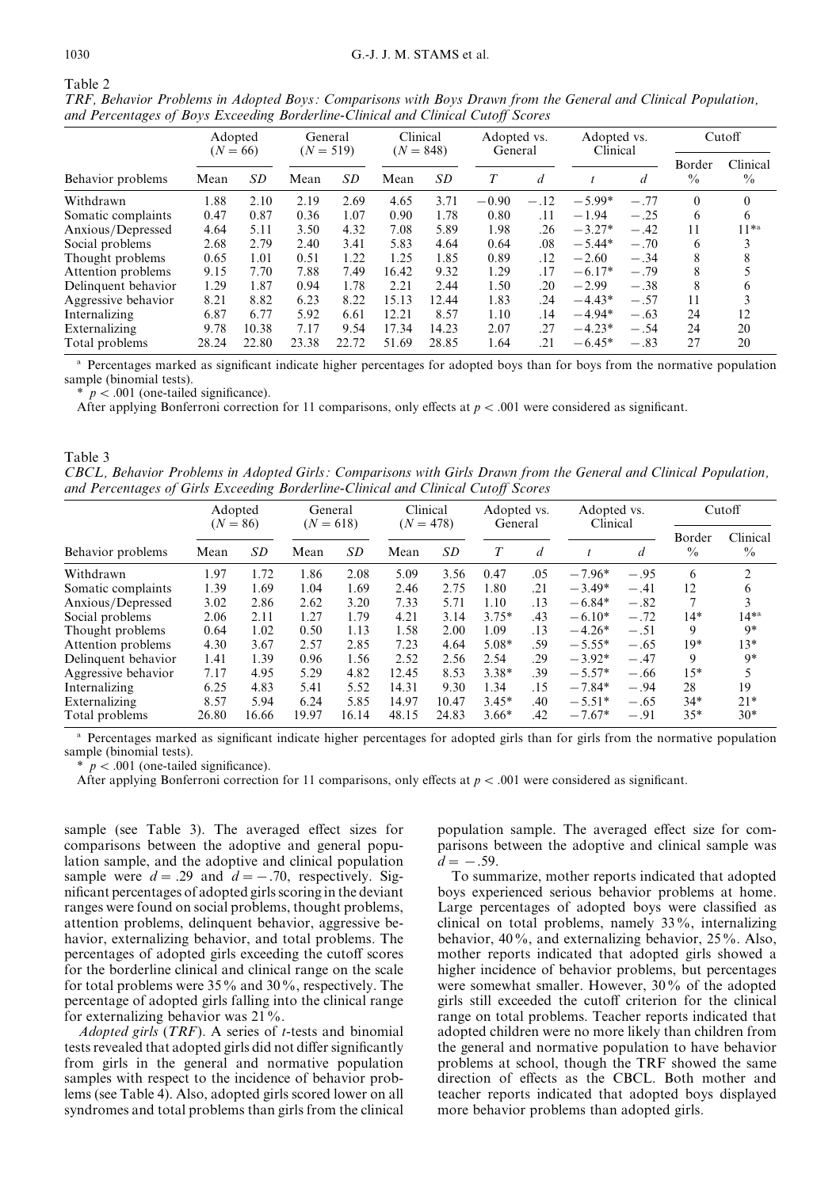Table 2

| ana Percentages of Boys Exceeding Borderline-Clinical and Clinical Cutoff Scores |                       |       |                        |       |                         |           |                        |        |                         |        |                         |                           |
|----------------------------------------------------------------------------------|-----------------------|-------|------------------------|-------|-------------------------|-----------|------------------------|--------|-------------------------|--------|-------------------------|---------------------------|
|                                                                                  | Adopted<br>$(N = 66)$ |       | General<br>$(N = 519)$ |       | Clinical<br>$(N = 848)$ |           | Adopted vs.<br>General |        | Adopted vs.<br>Clinical |        | Cutoff                  |                           |
| Behavior problems                                                                | Mean                  | SD    | Mean                   | SD    | Mean                    | <b>SD</b> | T                      | d      |                         | d      | Border<br>$\frac{0}{0}$ | Clinical<br>$\frac{0}{0}$ |
| Withdrawn                                                                        | 1.88                  | 2.10  | 2.19                   | 2.69  | 4.65                    | 3.71      | $-0.90$                | $-.12$ | $-5.99*$                | $-.77$ | $\theta$                | $\theta$                  |
| Somatic complaints                                                               | 0.47                  | 0.87  | 0.36                   | 1.07  | 0.90                    | 1.78      | 0.80                   | .11    | $-1.94$                 | $-.25$ | 6                       | 6                         |
| Anxious/Depressed                                                                | 4.64                  | 5.11  | 3.50                   | 4.32  | 7.08                    | 5.89      | 1.98                   | .26    | $-3.27*$                | $-.42$ | 11                      | $11^{*a}$                 |
| Social problems                                                                  | 2.68                  | 2.79  | 2.40                   | 3.41  | 5.83                    | 4.64      | 0.64                   | .08    | $-5.44*$                | $-.70$ | 6                       |                           |
| Thought problems                                                                 | 0.65                  | 1.01  | 0.51                   | 1.22  | 1.25                    | 1.85      | 0.89                   | .12    | $-2.60$                 | $-.34$ | 8                       | 8                         |
| Attention problems                                                               | 9.15                  | 7.70  | 7.88                   | 7.49  | 16.42                   | 9.32      | 1.29                   | .17    | $-6.17*$                | $-.79$ | 8                       |                           |
| Delinquent behavior                                                              | 1.29                  | 1.87  | 0.94                   | 1.78  | 2.21                    | 2.44      | 1.50                   | .20    | $-2.99$                 | $-.38$ | 8                       | 6                         |
| Aggressive behavior                                                              | 8.21                  | 8.82  | 6.23                   | 8.22  | 15.13                   | 12.44     | 1.83                   | .24    | $-4.43*$                | $-.57$ | 11                      |                           |
| Internalizing                                                                    | 6.87                  | 6.77  | 5.92                   | 6.61  | 12.21                   | 8.57      | 1.10                   | .14    | $-4.94*$                | $-.63$ | 24                      | 12                        |
| Externalizing                                                                    | 9.78                  | 10.38 | 7.17                   | 9.54  | 17.34                   | 14.23     | 2.07                   | .27    | $-4.23*$                | $-.54$ | 24                      | 20                        |
| Total problems                                                                   | 28.24                 | 22.80 | 23.38                  | 22.72 | 51.69                   | 28.85     | 1.64                   | .21    | $-6.45*$                | $-.83$ | 27                      | 20                        |

*TRF, Behavior Problems in Adopted Boys : Comparisons with Boys Drawn from the General and Clinical Population, and Percentages of Boys Exceeding Borderline-Clinical and Clinical Cutoff Scores*

a Percentages marked as significant indicate higher percentages for adopted boys than for boys from the normative population sample (binomial tests).

 $*$   $p < .001$  (one-tailed significance).

After applying Bonferroni correction for 11 comparisons, only effects at  $p < .001$  were considered as significant.

| Table 3 |                                                                                                                  |  |
|---------|------------------------------------------------------------------------------------------------------------------|--|
|         | CBCL, Behavior Problems in Adopted Girls: Comparisons with Girls Drawn from the General and Clinical Population, |  |
|         | and Percentages of Girls Exceeding Borderline-Clinical and Clinical Cutoff Scores                                |  |

|                     | Adopted<br>$(N = 86)$ |       | General<br>$(N = 618)$ |       | Clinical<br>$(N = 478)$ |       | Adopted vs.<br>General |     | Adopted vs.<br>Clinical |        | Cutoff                  |                           |
|---------------------|-----------------------|-------|------------------------|-------|-------------------------|-------|------------------------|-----|-------------------------|--------|-------------------------|---------------------------|
| Behavior problems   | Mean                  | SD    | Mean                   | SD    | Mean                    | SD    | T                      | d   |                         | d      | Border<br>$\frac{0}{0}$ | Clinical<br>$\frac{0}{0}$ |
| Withdrawn           | 1.97                  | 1.72  | 1.86                   | 2.08  | 5.09                    | 3.56  | 0.47                   | .05 | $-7.96*$                | $-.95$ | 6                       | 2                         |
| Somatic complaints  | 1.39                  | 1.69  | 1.04                   | 1.69  | 2.46                    | 2.75  | 1.80                   | .21 | $-3.49*$                | $-.41$ | 12                      | 6                         |
| Anxious/Depressed   | 3.02                  | 2.86  | 2.62                   | 3.20  | 7.33                    | 5.71  | 1.10                   | .13 | $-6.84*$                | $-.82$ | 7                       | 3                         |
| Social problems     | 2.06                  | 2.11  | 1.27                   | 1.79  | 4.21                    | 3.14  | $3.75*$                | .43 | $-6.10*$                | $-.72$ | $14*$                   | $14**$                    |
| Thought problems    | 0.64                  | 1.02  | 0.50                   | 1.13  | 1.58                    | 2.00  | 1.09                   | .13 | $-4.26*$                | $-.51$ | 9                       | $9*$                      |
| Attention problems  | 4.30                  | 3.67  | 2.57                   | 2.85  | 7.23                    | 4.64  | $5.08*$                | .59 | $-5.55*$                | $-.65$ | $19*$                   | $13*$                     |
| Delinquent behavior | 1.41                  | 1.39  | 0.96                   | 1.56  | 2.52                    | 2.56  | 2.54                   | .29 | $-3.92*$                | $-.47$ | 9                       | $9*$                      |
| Aggressive behavior | 7.17                  | 4.95  | 5.29                   | 4.82  | 12.45                   | 8.53  | $3.38*$                | .39 | $-5.57*$                | $-.66$ | $15*$                   |                           |
| Internalizing       | 6.25                  | 4.83  | 5.41                   | 5.52  | 14.31                   | 9.30  | 1.34                   | .15 | $-7.84*$                | $-.94$ | 28                      | 19                        |
| Externalizing       | 8.57                  | 5.94  | 6.24                   | 5.85  | 14.97                   | 10.47 | $3.45*$                | .40 | $-5.51*$                | $-.65$ | $34*$                   | $21*$                     |
| Total problems      | 26.80                 | 16.66 | 19.97                  | 16.14 | 48.15                   | 24.83 | $3.66*$                | .42 | $-7.67*$                | $-.91$ | $35*$                   | $30*$                     |

a Percentages marked as significant indicate higher percentages for adopted girls than for girls from the normative population sample (binomial tests).

 $p < .001$  (one-tailed significance).

After applying Bonferroni correction for 11 comparisons, only effects at  $p < .001$  were considered as significant.

sample (see Table 3). The averaged effect sizes for comparisons between the adoptive and general population sample, and the adoptive and clinical population sample were  $d = .29$  and  $d = -.70$ , respectively. Significant percentages of adopted girls scoring in the deviant ranges were found on social problems, thought problems, attention problems, delinquent behavior, aggressive behavior, externalizing behavior, and total problems. The percentages of adopted girls exceeding the cutoff scores for the borderline clinical and clinical range on the scale for total problems were  $35\%$  and  $30\%$ , respectively. The percentage of adopted girls falling into the clinical range for externalizing behavior was 21%.

*Adopted girls* (*TRF*). A series of *t*-tests and binomial tests revealed that adopted girls did not differ significantly from girls in the general and normative population samples with respect to the incidence of behavior problems (see Table 4). Also, adopted girls scored lower on all syndromes and total problems than girls from the clinical

population sample. The averaged effect size for comparisons between the adoptive and clinical sample was  $d = -.59$ .

To summarize, mother reports indicated that adopted boys experienced serious behavior problems at home. Large percentages of adopted boys were classified as clinical on total problems, namely 33%, internalizing behavior, 40%, and externalizing behavior, 25%. Also, mother reports indicated that adopted girls showed a higher incidence of behavior problems, but percentages were somewhat smaller. However, 30% of the adopted girls still exceeded the cutoff criterion for the clinical range on total problems. Teacher reports indicated that adopted children were no more likely than children from the general and normative population to have behavior problems at school, though the TRF showed the same direction of effects as the CBCL. Both mother and teacher reports indicated that adopted boys displayed more behavior problems than adopted girls.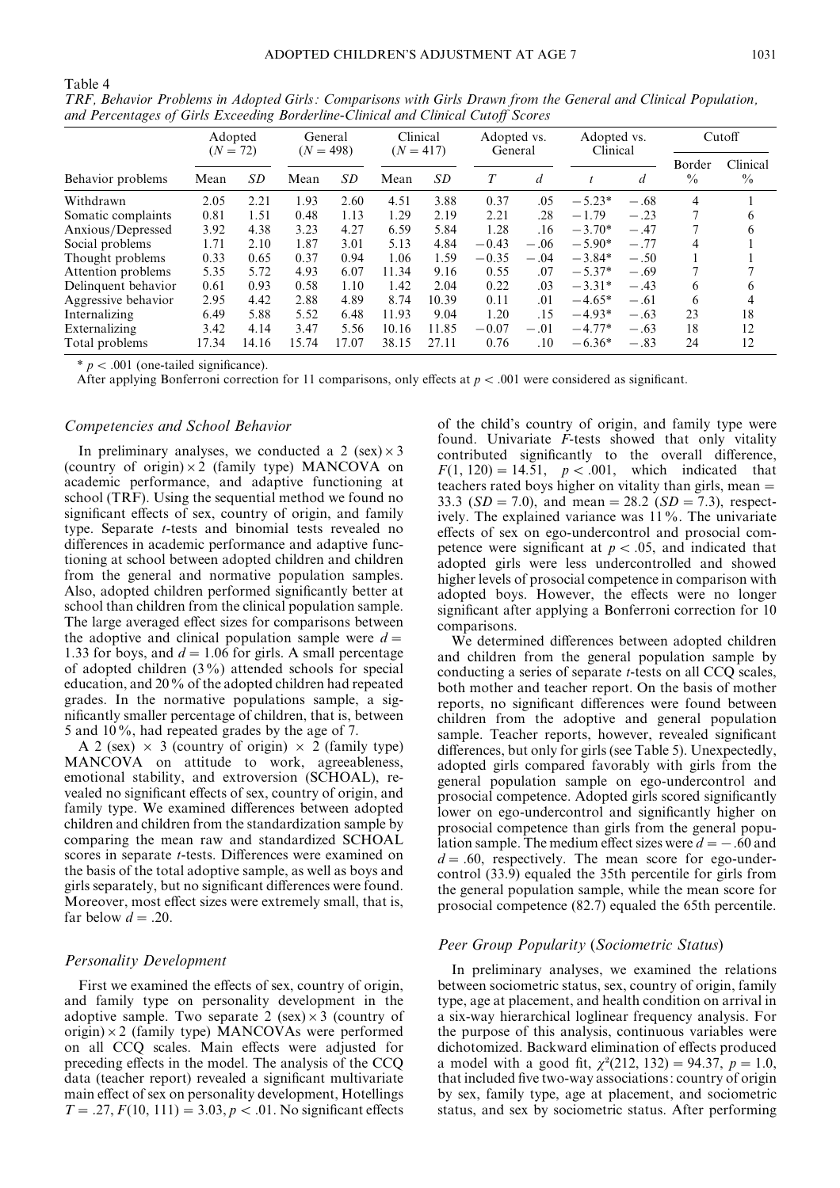| Adopted |       | General<br>$(N = 498)$ |       | Clinical<br>$(N = 417)$ |       | Adopted vs.<br>General |        | Adopted vs.<br>Clinical                                                       |        | Cutoff                  |                           |
|---------|-------|------------------------|-------|-------------------------|-------|------------------------|--------|-------------------------------------------------------------------------------|--------|-------------------------|---------------------------|
| Mean    | SD    | Mean                   | SD    | Mean                    | SD    | T                      | d      |                                                                               | d      | Border<br>$\frac{0}{0}$ | Clinical<br>$\frac{0}{0}$ |
| 2.05    | 2.21  | 1.93                   | 2.60  | 4.51                    | 3.88  | 0.37                   | .05    | $-5.23*$                                                                      | $-.68$ | 4                       |                           |
| 0.81    | 1.51  | 0.48                   | 1.13  | 1.29                    | 2.19  | 2.21                   | .28    | $-1.79$                                                                       | $-.23$ | 7                       | 6                         |
| 3.92    | 4.38  | 3.23                   | 4.27  | 6.59                    | 5.84  | 1.28                   | .16    | $-3.70*$                                                                      | $-.47$ |                         | 6                         |
| 1.71    | 2.10  | 1.87                   | 3.01  | 5.13                    | 4.84  | $-0.43$                | $-.06$ | $-5.90*$                                                                      | $-.77$ | 4                       |                           |
| 0.33    | 0.65  | 0.37                   | 0.94  | 1.06                    | 1.59  | $-0.35$                | $-.04$ | $-3.84*$                                                                      | $-.50$ |                         |                           |
| 5.35    | 5.72  | 4.93                   | 6.07  | 11.34                   | 9.16  | 0.55                   | .07    | $-5.37*$                                                                      | $-.69$ |                         |                           |
| 0.61    | 0.93  | 0.58                   | 1.10  | 1.42                    | 2.04  | 0.22                   | .03    | $-3.31*$                                                                      | $-.43$ | 6                       | 6                         |
| 2.95    | 4.42  | 2.88                   | 4.89  | 8.74                    | 10.39 | 0.11                   | .01    | $-4.65*$                                                                      | $-.61$ | 6                       | 4                         |
| 6.49    | 5.88  | 5.52                   | 6.48  | 11.93                   | 9.04  | 1.20                   | .15    | $-4.93*$                                                                      | $-.63$ | 23                      | 18                        |
| 3.42    | 4.14  | 3.47                   | 5.56  | 10.16                   | 11.85 | $-0.07$                | $-.01$ | $-4.77*$                                                                      | $-.63$ | 18                      | 12                        |
| 17.34   | 14.16 | 15.74                  | 17.07 | 38.15                   | 27.11 | 0.76                   | .10    | $-6.36*$                                                                      | $-.83$ | 24                      | 12                        |
|         |       | $(N = 72)$             |       |                         |       |                        |        | ana i creeniages of Giris Excecuing Dorucrime-Cumcul and Cumcul Cutoff Beores |        |                         |                           |

*TRF, Behavior Problems in Adopted Girls : Comparisons with Girls Drawn from the General and Clinical Population, and Percentages of Girls Exceeding Borderline-Clinical and Clinical Cutoff Scores*

 $* p < .001$  (one-tailed significance).

Table 4

After applying Bonferroni correction for 11 comparisons, only effects at  $p < .001$  were considered as significant.

#### *Competencies and School Behavior*

In preliminary analyses, we conducted a 2 (sex)  $\times$  3 (country of origin) $\times$ 2 (family type) MANCOVA on academic performance, and adaptive functioning at school (TRF). Using the sequential method we found no significant effects of sex, country of origin, and family type. Separate *t*-tests and binomial tests revealed no differences in academic performance and adaptive functioning at school between adopted children and children from the general and normative population samples. Also, adopted children performed significantly better at school than children from the clinical population sample. The large averaged effect sizes for comparisons between the adoptive and clinical population sample were  $d=$ 1.33 for boys, and  $d = 1.06$  for girls. A small percentage of adopted children (3%) attended schools for special education, and 20% of the adopted children had repeated grades. In the normative populations sample, a significantly smaller percentage of children, that is, between 5 and 10%, had repeated grades by the age of 7.

A 2 (sex)  $\times$  3 (country of origin)  $\times$  2 (family type) MANCOVA on attitude to work, agreeableness, emotional stability, and extroversion (SCHOAL), revealed no significant effects of sex, country of origin, and family type. We examined differences between adopted children and children from the standardization sample by comparing the mean raw and standardized SCHOAL scores in separate *t*-tests. Differences were examined on the basis of the total adoptive sample, as well as boys and girls separately, but no significant differences were found. Moreover, most effect sizes were extremely small, that is, far below  $d = .20$ .

#### *Personality Development*

First we examined the effects of sex, country of origin, and family type on personality development in the adoptive sample. Two separate 2 (sex)  $\times$  3 (country of origin)  $\times$  2 (family type) MANCOVAs were performed on all CCQ scales. Main effects were adjusted for preceding effects in the model. The analysis of the CCQ data (teacher report) revealed a significant multivariate main effect of sex on personality development, Hotellings  $T = .27, F(10, 111) = 3.03, p < .01$ . No significant effects

of the child's country of origin, and family type were found. Univariate *F*-tests showed that only vitality contributed significantly to the overall difference,  $F(1, 120) = 14.51$ ,  $p < .001$ , which indicated that teachers rated boys higher on vitality than girls, mean  $=$ 33.3 (*SD* = 7.0), and mean = 28.2 (*SD* = 7.3), respectively. The explained variance was 11%. The univariate effects of sex on ego-undercontrol and prosocial competence were significant at  $p < .05$ , and indicated that adopted girls were less undercontrolled and showed higher levels of prosocial competence in comparison with adopted boys. However, the effects were no longer significant after applying a Bonferroni correction for 10 comparisons.

We determined differences between adopted children and children from the general population sample by conducting a series of separate *t*-tests on all CCQ scales, both mother and teacher report. On the basis of mother reports, no significant differences were found between children from the adoptive and general population sample. Teacher reports, however, revealed significant differences, but only for girls (see Table 5). Unexpectedly, adopted girls compared favorably with girls from the general population sample on ego-undercontrol and prosocial competence. Adopted girls scored significantly lower on ego-undercontrol and significantly higher on prosocial competence than girls from the general population sample. The medium effect sizes were  $d = -0.60$  and  $d = .60$ , respectively. The mean score for ego-undercontrol (33.9) equaled the 35th percentile for girls from the general population sample, while the mean score for prosocial competence  $(82.7)$  equaled the 65th percentile.

#### *Peer Group Popularity* (*Sociometric Status*)

In preliminary analyses, we examined the relations between sociometric status, sex, country of origin, family type, age at placement, and health condition on arrival in a six-way hierarchical loglinear frequency analysis. For the purpose of this analysis, continuous variables were dichotomized. Backward elimination of effects produced a model with a good fit,  $\chi^2(212, 132) = 94.37, p = 1.0$ , that included five two-way associations: country of origin by sex, family type, age at placement, and sociometric status, and sex by sociometric status. After performing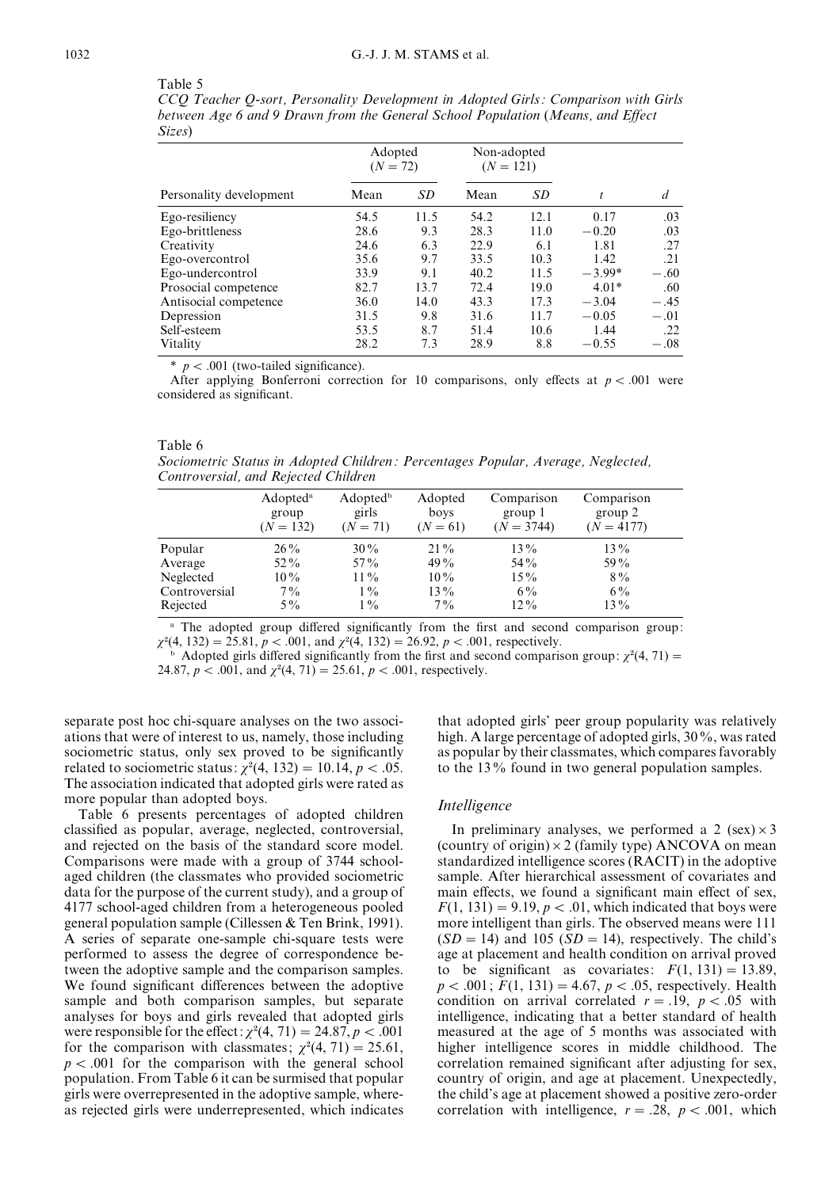# Table 5

*CCQ Teacher Q-sort, Personality Development in Adopted Girls : Comparison with Girls between Age 6 and 9 Drawn from the General School Population* (*Means, and Effect Sizes*)

|                         | Adopted<br>$(N = 72)$ |      | Non-adopted<br>$(N = 121)$ |           |          |                |
|-------------------------|-----------------------|------|----------------------------|-----------|----------|----------------|
| Personality development | Mean                  | SD   | Mean                       | <i>SD</i> |          | $\overline{d}$ |
| Ego-resiliency          | 54.5                  | 11.5 | 54.2                       | 12.1      | 0.17     | .03            |
| Ego-brittleness         | 28.6                  | 9.3  | 28.3                       | 11.0      | $-0.20$  | .03            |
| Creativity              | 24.6                  | 6.3  | 22.9                       | 6.1       | 1.81     | .27            |
| Ego-overcontrol         | 35.6                  | 9.7  | 33.5                       | 10.3      | 1.42     | .21            |
| Ego-undercontrol        | 33.9                  | 9.1  | 40.2                       | 11.5      | $-3.99*$ | $-.60$         |
| Prosocial competence    | 82.7                  | 13.7 | 72.4                       | 19.0      | $4.01*$  | .60            |
| Antisocial competence   | 36.0                  | 14.0 | 43.3                       | 17.3      | $-3.04$  | $-.45$         |
| Depression              | 31.5                  | 9.8  | 31.6                       | 11.7      | $-0.05$  | $-.01$         |
| Self-esteem             | 53.5                  | 8.7  | 51.4                       | 10.6      | 1.44     | .22            |
| Vitality                | 28.2                  | 7.3  | 28.9                       | 8.8       | $-0.55$  | $-.08$         |

 $*$   $p < .001$  (two-tailed significance).

After applying Bonferroni correction for 10 comparisons, only effects at  $p < .001$  were considered as significant.

#### Table 6

*Sociometric Status in Adopted Children : Percentages Popular, Average, Neglected, Controversial, and Rejected Children*

|               | Adopted <sup>a</sup><br>group<br>$(N = 132)$ | Adopted <sup>b</sup><br>girls<br>$(N = 71)$ | Adopted<br>boys<br>$(N = 61)$ | Comparison<br>group 1<br>$(N = 3744)$ | Comparison<br>group 2<br>$(N = 4177)$ |  |
|---------------|----------------------------------------------|---------------------------------------------|-------------------------------|---------------------------------------|---------------------------------------|--|
| Popular       | $26\%$                                       | $30\%$                                      | $21\%$                        | $13\%$                                | $13\%$                                |  |
| Average       | $52\%$                                       | $57\%$                                      | $49\%$                        | $54\%$                                | 59 %                                  |  |
| Neglected     | $10\%$                                       | $11\%$                                      | $10\%$                        | $15\%$                                | $8\%$                                 |  |
| Controversial | $7\%$                                        | $1\%$                                       | $13\%$                        | $6\%$                                 | $6\%$                                 |  |
| Rejected      | $5\%$                                        | $1\%$                                       | $7\%$                         | $12\%$                                | $13\%$                                |  |

<sup>a</sup> The adopted group differed significantly from the first and second comparison group: The adopted group differed significantly from the first and secon  $\chi^2(4, 132) = 25.81$ ,  $p < .001$ , and  $\chi^2(4, 132) = 26.92$ ,  $p < .001$ , respectively.

 $b_4$ , 132) = 25.81,  $p < .001$ , and  $\chi$ <sup>-</sup>(4, 132) = 26.92,  $p < .001$ , respectively.<br><sup>b</sup> Adopted girls differed significantly from the first and second comparison group:  $\chi^2(4, 71) =$ 24.87,  $p < .001$ , and  $\chi^2(4, 71) = 25.61$ ,  $p < .001$ , respectively.

separate post hoc chi-square analyses on the two associations that were of interest to us, namely, those including sociometric status, only sex proved to be significantly related to sociometric status:  $\chi^2(4, 132) = 10.14, p < .05$ . The association indicated that adopted girls were rated as more popular than adopted boys.

Table 6 presents percentages of adopted children classified as popular, average, neglected, controversial, and rejected on the basis of the standard score model. Comparisons were made with a group of 3744 schoolaged children (the classmates who provided sociometric data for the purpose of the current study), and a group of 4177 school-aged children from a heterogeneous pooled general population sample (Cillessen & Ten Brink, 1991). A series of separate one-sample chi-square tests were performed to assess the degree of correspondence between the adoptive sample and the comparison samples. We found significant differences between the adoptive sample and both comparison samples, but separate analyses for boys and girls revealed that adopted girls were responsible for the effect:  $\chi^2(4, 71) = 24.87, p < .001$ for the comparison with classmates;  $\chi^2(4, 71) = 25.61$ ,  $p < .001$  for the comparison with the general school population. From Table 6 it can be surmised that popular girls were overrepresented in the adoptive sample, whereas rejected girls were underrepresented, which indicates that adopted girls' peer group popularity was relatively high. A large percentage of adopted girls, 30%, was rated as popular by their classmates, which compares favorably to the 13% found in two general population samples.

### *Intelligence*

In preliminary analyses, we performed a 2 (sex)  $\times$  3 (country of origin)  $\times$  2 (family type) ANCOVA on mean standardized intelligence scores (RACIT) in the adoptive sample. After hierarchical assessment of covariates and main effects, we found a significant main effect of sex,  $F(1, 131) = 9.19, p < .01$ , which indicated that boys were more intelligent than girls. The observed means were 111  $(SD = 14)$  and 105 (*SD* = 14), respectively. The child's age at placement and health condition on arrival proved to be significant as covariates:  $F(1, 131) = 13.89$ ,  $p < .001$ ;  $F(1, 131) = 4.67$ ,  $p < .05$ , respectively. Health condition on arrival correlated  $r = .19$ ,  $p < .05$  with intelligence, indicating that a better standard of health measured at the age of 5 months was associated with higher intelligence scores in middle childhood. The correlation remained significant after adjusting for sex, country of origin, and age at placement. Unexpectedly, the child's age at placement showed a positive zero-order correlation with intelligence,  $r = .28$ ,  $p < .001$ , which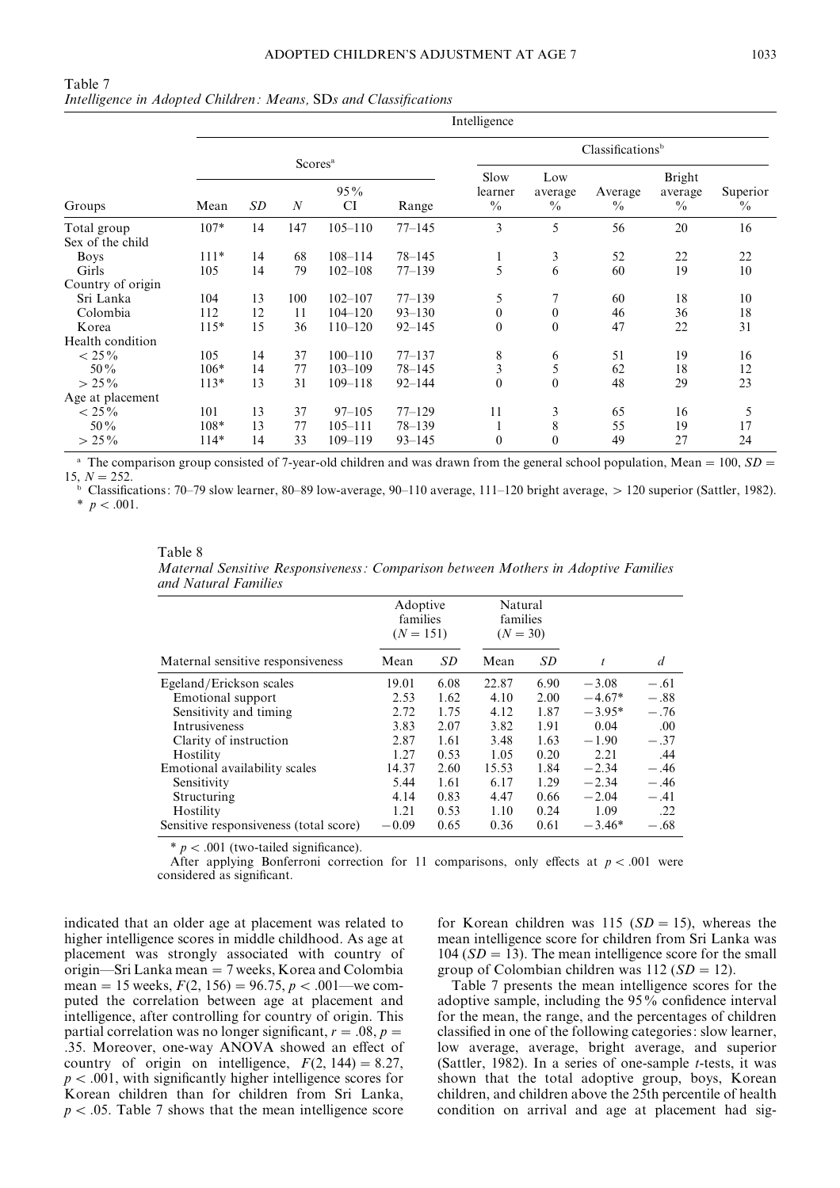| Table 7 |  |  |                                                                  |
|---------|--|--|------------------------------------------------------------------|
|         |  |  | Intelligence in Adopted Children: Means, SDs and Classifications |

|                   | Intelligence |           |                     |                  |            |                                  |                                 |                          |                                           |                           |  |  |  |  |
|-------------------|--------------|-----------|---------------------|------------------|------------|----------------------------------|---------------------------------|--------------------------|-------------------------------------------|---------------------------|--|--|--|--|
|                   |              |           | Scores <sup>a</sup> |                  |            |                                  | Classifications <sup>b</sup>    |                          |                                           |                           |  |  |  |  |
| Groups            | Mean         | <b>SD</b> | $\boldsymbol{N}$    | 95%<br><b>CI</b> | Range      | Slow<br>learner<br>$\frac{0}{0}$ | Low<br>average<br>$\frac{0}{0}$ | Average<br>$\frac{0}{0}$ | <b>Bright</b><br>average<br>$\frac{0}{0}$ | Superior<br>$\frac{0}{0}$ |  |  |  |  |
| Total group       | $107*$       | 14        | 147                 | $105 - 110$      | $77 - 145$ | 3                                | 5                               | 56                       | 20                                        | 16                        |  |  |  |  |
| Sex of the child  |              |           |                     |                  |            |                                  |                                 |                          |                                           |                           |  |  |  |  |
| <b>Boys</b>       | $111*$       | 14        | 68                  | $108 - 114$      | $78 - 145$ | 1                                | 3                               | 52                       | 22                                        | 22                        |  |  |  |  |
| Girls             | 105          | 14        | 79                  | $102 - 108$      | $77 - 139$ | 5                                | 6                               | 60                       | 19                                        | 10                        |  |  |  |  |
| Country of origin |              |           |                     |                  |            |                                  |                                 |                          |                                           |                           |  |  |  |  |
| Sri Lanka         | 104          | 13        | 100                 | $102 - 107$      | $77 - 139$ | 5                                |                                 | 60                       | 18                                        | 10                        |  |  |  |  |
| Colombia          | 112          | 12        | 11                  | $104 - 120$      | $93 - 130$ | $\overline{0}$                   | $\theta$                        | 46                       | 36                                        | 18                        |  |  |  |  |
| Korea             | $115*$       | 15        | 36                  | $110 - 120$      | $92 - 145$ | $\mathbf{0}$                     | $\mathbf{0}$                    | 47                       | 22                                        | 31                        |  |  |  |  |
| Health condition  |              |           |                     |                  |            |                                  |                                 |                          |                                           |                           |  |  |  |  |
| $< 25\%$          | 105          | 14        | 37                  | $100 - 110$      | $77 - 137$ | 8                                | 6                               | 51                       | 19                                        | 16                        |  |  |  |  |
| $50\%$            | $106*$       | 14        | 77                  | $103 - 109$      | $78 - 145$ | 3                                | 5                               | 62                       | 18                                        | 12                        |  |  |  |  |
| $> 25\%$          | $113*$       | 13        | 31                  | $109 - 118$      | $92 - 144$ | $\mathbf{0}$                     | $\boldsymbol{0}$                | 48                       | 29                                        | 23                        |  |  |  |  |
| Age at placement  |              |           |                     |                  |            |                                  |                                 |                          |                                           |                           |  |  |  |  |
| $< 25\%$          | 101          | 13        | 37                  | $97 - 105$       | $77 - 129$ | 11                               | 3                               | 65                       | 16                                        | 5                         |  |  |  |  |
| 50%               | $108*$       | 13        | 77                  | $105 - 111$      | $78 - 139$ |                                  | 8                               | 55                       | 19                                        | 17                        |  |  |  |  |
| $> 25\%$          | $114*$       | 14        | 33                  | $109 - 119$      | $93 - 145$ | $\overline{0}$                   | $\mathbf{0}$                    | 49                       | 27                                        | 24                        |  |  |  |  |

<sup>a</sup> The comparison group consisted of 7-year-old children and was drawn from the general school population, Mean  $= 100$ , *SD*  $=$ 15,  $N = 252$ .

<sup>b</sup> Classifications: 70–79 slow learner, 80–89 low-average, 90–110 average,  $111$ –120 bright average,  $> 120$  superior (Sattler, 1982).  $*$   $p < .001$ .

## Table 8 *Maternal Sensitive Responsiveness : Comparison between Mothers in Adoptive Families and Natural Families*

|                                        | Adoptive<br>families<br>$(N = 151)$ |      | Natural<br>families<br>$(N = 30)$ |           |          |        |
|----------------------------------------|-------------------------------------|------|-----------------------------------|-----------|----------|--------|
| Maternal sensitive responsiveness      | Mean                                | SD.  | Mean                              | <b>SD</b> | t        | d      |
| Egeland/Erickson scales                | 19.01                               | 6.08 | 22.87                             | 6.90      | $-3.08$  | $-.61$ |
| Emotional support                      | 2.53                                | 1.62 | 4.10                              | 2.00      | $-4.67*$ | $-.88$ |
| Sensitivity and timing                 | 2.72                                | 1.75 | 4.12                              | 1.87      | $-3.95*$ | $-.76$ |
| <b>Intrusiveness</b>                   | 3.83                                | 2.07 | 3.82                              | 1.91      | 0.04     | .00.   |
| Clarity of instruction                 | 2.87                                | 1.61 | 3.48                              | 1.63      | $-1.90$  | $-.37$ |
| Hostility                              | 1.27                                | 0.53 | 1.05                              | 0.20      | 2.21     | .44    |
| Emotional availability scales          | 14.37                               | 2.60 | 15.53                             | 1.84      | $-2.34$  | $-.46$ |
| Sensitivity                            | 5.44                                | 1.61 | 6.17                              | 1.29      | $-2.34$  | $-.46$ |
| Structuring                            | 4.14                                | 0.83 | 4.47                              | 0.66      | $-2.04$  | $-.41$ |
| Hostility                              | 1.21                                | 0.53 | 1.10                              | 0.24      | 1.09     | .22    |
| Sensitive responsiveness (total score) | $-0.09$                             | 0.65 | 0.36                              | 0.61      | $-3.46*$ | $-.68$ |

 $* p < .001$  (two-tailed significance).

After applying Bonferroni correction for 11 comparisons, only effects at  $p < .001$  were considered as significant.

indicated that an older age at placement was related to higher intelligence scores in middle childhood. As age at placement was strongly associated with country of origin—Sri Lanka mean  $=7$  weeks, Korea and Colombia mean = 15 weeks,  $F(2, 156) = 96.75$ ,  $p < .001$ —we computed the correlation between age at placement and intelligence, after controlling for country of origin. This partial correlation was no longer significant,  $r = .08$ ,  $p =$ ±35. Moreover, one-way ANOVA showed an effect of country of origin on intelligence,  $F(2, 144) = 8.27$ ,  $p < .001$ , with significantly higher intelligence scores for Korean children than for children from Sri Lanka,  $p < .05$ . Table 7 shows that the mean intelligence score for Korean children was  $115$  ( $SD = 15$ ), whereas the mean intelligence score for children from Sri Lanka was  $104 (SD = 13)$ . The mean intelligence score for the small group of Colombian children was  $112 (SD = 12)$ .

Table 7 presents the mean intelligence scores for the adoptive sample, including the 95% confidence interval for the mean, the range, and the percentages of children classified in one of the following categories: slow learner, low average, average, bright average, and superior (Sattler, 1982). In a series of one-sample *t*-tests, it was shown that the total adoptive group, boys, Korean children, and children above the 25th percentile of health condition on arrival and age at placement had sig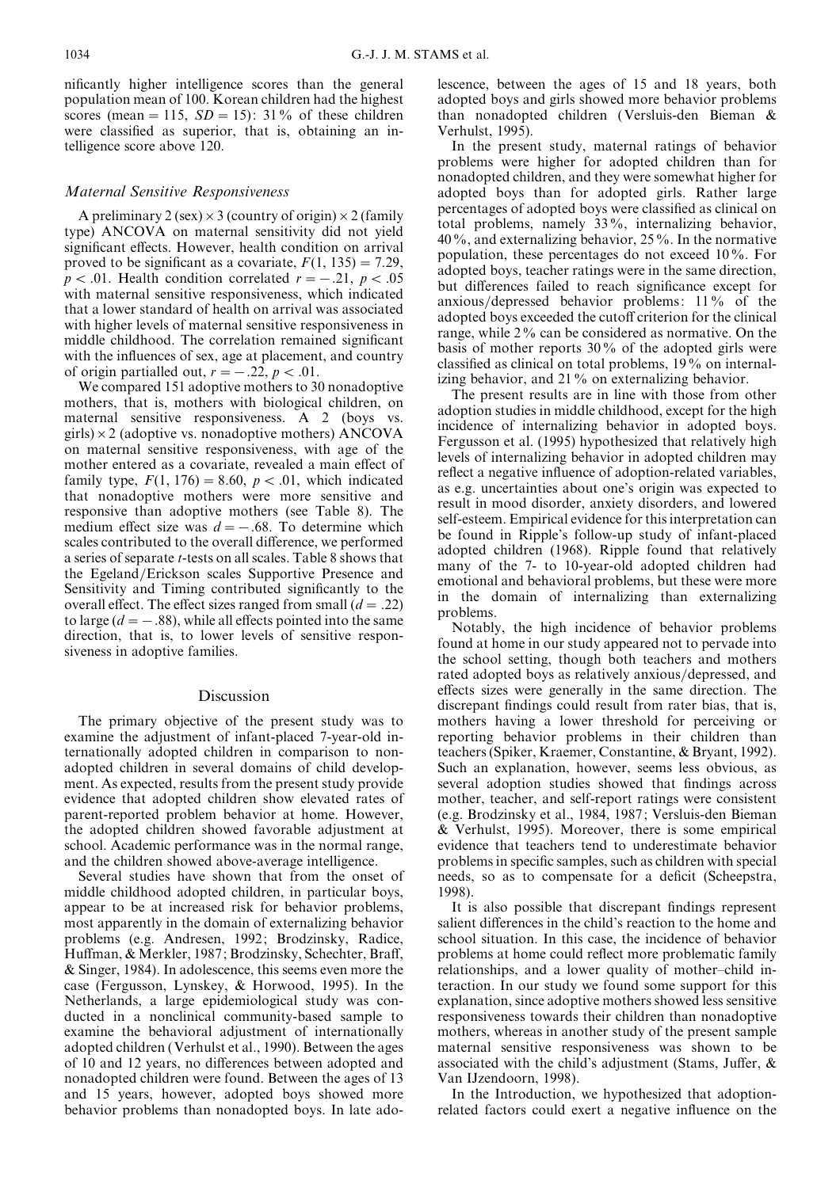nificantly higher intelligence scores than the general population mean of 100. Korean children had the highest scores (mean = 115,  $SD = 15$ ): 31% of these children were classified as superior, that is, obtaining an intelligence score above 120.

### *Maternal Sensitive Responsiveness*

A preliminary 2 (sex)  $\times$  3 (country of origin)  $\times$  2 (family type) ANCOVA on maternal sensitivity did not yield significant effects. However, health condition on arrival proved to be significant as a covariate,  $F(1, 135) = 7.29$ ,  $p < .01$ . Health condition correlated  $r = -.21$ ,  $p < .05$ with maternal sensitive responsiveness, which indicated that a lower standard of health on arrival was associated with higher levels of maternal sensitive responsiveness in middle childhood. The correlation remained significant with the influences of sex, age at placement, and country of origin partialled out,  $r = -0.22$ ,  $p < 0.01$ .

We compared 151 adoptive mothers to 30 nonadoptive mothers, that is, mothers with biological children, on maternal sensitive responsiveness. A 2 (boys vs. girls)  $\times$  2 (adoptive vs. nonadoptive mothers) ANCOVA on maternal sensitive responsiveness, with age of the mother entered as a covariate, revealed a main effect of family type,  $F(1, 176) = 8.60, p < 0.01$ , which indicated that nonadoptive mothers were more sensitive and responsive than adoptive mothers (see Table 8). The medium effect size was  $d = -.68$ . To determine which scales contributed to the overall difference, we performed a series of separate *t*-tests on all scales. Table 8 shows that the Egeland/Erickson scales Supportive Presence and Sensitivity and Timing contributed significantly to the overall effect. The effect sizes ranged from small  $(d = .22)$ to large  $(d = -0.88)$ , while all effects pointed into the same direction, that is, to lower levels of sensitive responsiveness in adoptive families.

## Discussion

The primary objective of the present study was to examine the adjustment of infant-placed 7-year-old internationally adopted children in comparison to nonadopted children in several domains of child development. As expected, results from the present study provide evidence that adopted children show elevated rates of parent-reported problem behavior at home. However, the adopted children showed favorable adjustment at school. Academic performance was in the normal range, and the children showed above-average intelligence.

Several studies have shown that from the onset of middle childhood adopted children, in particular boys, appear to be at increased risk for behavior problems, most apparently in the domain of externalizing behavior problems (e.g. Andresen, 1992; Brodzinsky, Radice, Huffman, & Merkler, 1987; Brodzinsky, Schechter, Braff, & Singer, 1984). In adolescence, this seems even more the case (Fergusson, Lynskey, & Horwood, 1995). In the Netherlands, a large epidemiological study was conducted in a nonclinical community-based sample to examine the behavioral adjustment of internationally adopted children (Verhulst et al., 1990). Between the ages of 10 and 12 years, no differences between adopted and nonadopted children were found. Between the ages of 13 and 15 years, however, adopted boys showed more behavior problems than nonadopted boys. In late adolescence, between the ages of 15 and 18 years, both adopted boys and girls showed more behavior problems than nonadopted children (Versluis-den Bieman & Verhulst, 1995).

In the present study, maternal ratings of behavior problems were higher for adopted children than for nonadopted children, and they were somewhat higher for adopted boys than for adopted girls. Rather large percentages of adopted boys were classified as clinical on total problems, namely 33%, internalizing behavior, 40%, and externalizing behavior, 25%. In the normative population, these percentages do not exceed 10%. For adopted boys, teacher ratings were in the same direction, but differences failed to reach significance except for anxious}depressed behavior problems: 11% of the adopted boys exceeded the cutoff criterion for the clinical range, while 2% can be considered as normative. On the basis of mother reports 30% of the adopted girls were classified as clinical on total problems, 19% on internalizing behavior, and 21% on externalizing behavior.

The present results are in line with those from other adoption studies in middle childhood, except for the high incidence of internalizing behavior in adopted boys. Fergusson et al. (1995) hypothesized that relatively high levels of internalizing behavior in adopted children may reflect a negative influence of adoption-related variables, as e.g. uncertainties about one's origin was expected to result in mood disorder, anxiety disorders, and lowered self-esteem. Empirical evidence for this interpretation can be found in Ripple's follow-up study of infant-placed adopted children (1968). Ripple found that relatively many of the 7- to 10-year-old adopted children had emotional and behavioral problems, but these were more in the domain of internalizing than externalizing problems.

Notably, the high incidence of behavior problems found at home in our study appeared not to pervade into the school setting, though both teachers and mothers rated adopted boys as relatively anxious/depressed, and effects sizes were generally in the same direction. The discrepant findings could result from rater bias, that is, mothers having a lower threshold for perceiving or reporting behavior problems in their children than teachers (Spiker, Kraemer, Constantine, & Bryant, 1992). Such an explanation, however, seems less obvious, as several adoption studies showed that findings across mother, teacher, and self-report ratings were consistent (e.g. Brodzinsky et al., 1984, 1987; Versluis-den Bieman & Verhulst, 1995). Moreover, there is some empirical evidence that teachers tend to underestimate behavior problems in specific samples, such as children with special needs, so as to compensate for a deficit (Scheepstra, 1998).

It is also possible that discrepant findings represent salient differences in the child's reaction to the home and school situation. In this case, the incidence of behavior problems at home could reflect more problematic family relationships, and a lower quality of mother–child interaction. In our study we found some support for this explanation, since adoptive mothers showed less sensitive responsiveness towards their children than nonadoptive mothers, whereas in another study of the present sample maternal sensitive responsiveness was shown to be associated with the child's adjustment (Stams, Juffer, & Van IJzendoorn, 1998).

In the Introduction, we hypothesized that adoptionrelated factors could exert a negative influence on the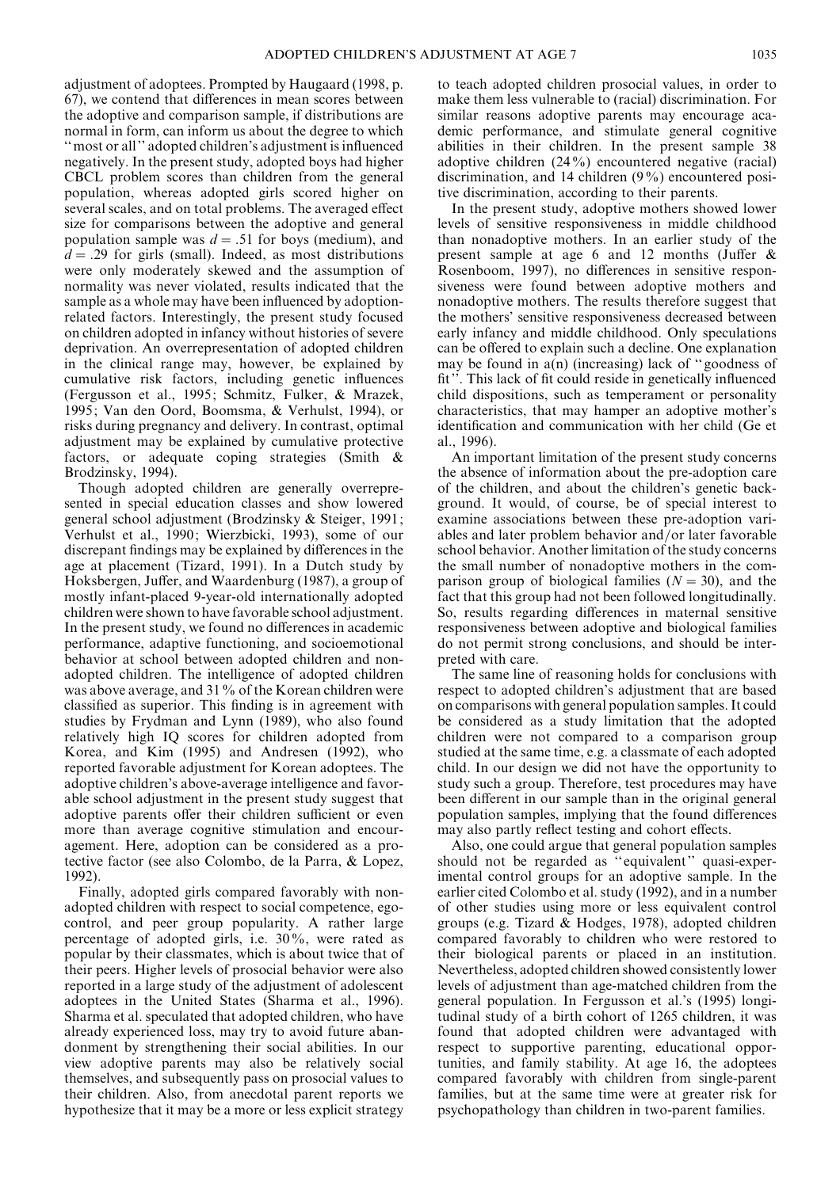adjustment of adoptees. Prompted by Haugaard (1998, p. 67), we contend that differences in mean scores between the adoptive and comparison sample, if distributions are normal in form, can inform us about the degree to which ''most or all'' adopted children's adjustment is influenced negatively. In the present study, adopted boys had higher CBCL problem scores than children from the general population, whereas adopted girls scored higher on several scales, and on total problems. The averaged effect size for comparisons between the adoptive and general population sample was  $d = .51$  for boys (medium), and  $d = .29$  for girls (small). Indeed, as most distributions were only moderately skewed and the assumption of normality was never violated, results indicated that the sample as a whole may have been influenced by adoptionrelated factors. Interestingly, the present study focused on children adopted in infancy without histories of severe deprivation. An overrepresentation of adopted children in the clinical range may, however, be explained by cumulative risk factors, including genetic influences (Fergusson et al., 1995; Schmitz, Fulker, & Mrazek, 1995; Van den Oord, Boomsma, & Verhulst, 1994), or risks during pregnancy and delivery. In contrast, optimal adjustment may be explained by cumulative protective factors, or adequate coping strategies (Smith & Brodzinsky, 1994).

Though adopted children are generally overrepresented in special education classes and show lowered general school adjustment (Brodzinsky & Steiger, 1991; Verhulst et al., 1990; Wierzbicki, 1993), some of our discrepant findings may be explained by differences in the age at placement (Tizard, 1991). In a Dutch study by Hoksbergen, Juffer, and Waardenburg (1987), a group of mostly infant-placed 9-year-old internationally adopted children were shown to have favorable school adjustment. In the present study, we found no differences in academic performance, adaptive functioning, and socioemotional behavior at school between adopted children and nonadopted children. The intelligence of adopted children was above average, and 31% of the Korean children were classified as superior. This finding is in agreement with studies by Frydman and Lynn (1989), who also found relatively high IQ scores for children adopted from Korea, and Kim (1995) and Andresen (1992), who reported favorable adjustment for Korean adoptees. The adoptive children's above-average intelligence and favorable school adjustment in the present study suggest that adoptive parents offer their children sufficient or even more than average cognitive stimulation and encouragement. Here, adoption can be considered as a protective factor (see also Colombo, de la Parra, & Lopez, 1992).

Finally, adopted girls compared favorably with nonadopted children with respect to social competence, egocontrol, and peer group popularity. A rather large percentage of adopted girls, i.e. 30%, were rated as popular by their classmates, which is about twice that of their peers. Higher levels of prosocial behavior were also reported in a large study of the adjustment of adolescent adoptees in the United States (Sharma et al., 1996). Sharma et al. speculated that adopted children, who have already experienced loss, may try to avoid future abandonment by strengthening their social abilities. In our view adoptive parents may also be relatively social themselves, and subsequently pass on prosocial values to their children. Also, from anecdotal parent reports we hypothesize that it may be a more or less explicit strategy

to teach adopted children prosocial values, in order to make them less vulnerable to (racial) discrimination. For similar reasons adoptive parents may encourage academic performance, and stimulate general cognitive abilities in their children. In the present sample 38 adoptive children (24%) encountered negative (racial) discrimination, and 14 children (9%) encountered positive discrimination, according to their parents.

In the present study, adoptive mothers showed lower levels of sensitive responsiveness in middle childhood than nonadoptive mothers. In an earlier study of the present sample at age 6 and 12 months (Juffer & Rosenboom, 1997), no differences in sensitive responsiveness were found between adoptive mothers and nonadoptive mothers. The results therefore suggest that the mothers' sensitive responsiveness decreased between early infancy and middle childhood. Only speculations can be offered to explain such a decline. One explanation may be found in  $a(n)$  (increasing) lack of "goodness of fit''. This lack of fit could reside in genetically influenced child dispositions, such as temperament or personality characteristics, that may hamper an adoptive mother's identification and communication with her child (Ge et al., 1996).

An important limitation of the present study concerns the absence of information about the pre-adoption care of the children, and about the children's genetic background. It would, of course, be of special interest to examine associations between these pre-adoption variables and later problem behavior and/or later favorable school behavior. Another limitation of the study concerns the small number of nonadoptive mothers in the comparison group of biological families  $(N = 30)$ , and the fact that this group had not been followed longitudinally. So, results regarding differences in maternal sensitive responsiveness between adoptive and biological families do not permit strong conclusions, and should be interpreted with care.

The same line of reasoning holds for conclusions with respect to adopted children's adjustment that are based on comparisons with general population samples. It could be considered as a study limitation that the adopted children were not compared to a comparison group studied at the same time, e.g. a classmate of each adopted child. In our design we did not have the opportunity to study such a group. Therefore, test procedures may have been different in our sample than in the original general population samples, implying that the found differences may also partly reflect testing and cohort effects.

Also, one could argue that general population samples should not be regarded as ''equivalent'' quasi-experimental control groups for an adoptive sample. In the earlier cited Colombo et al. study (1992), and in a number of other studies using more or less equivalent control groups (e.g. Tizard & Hodges, 1978), adopted children compared favorably to children who were restored to their biological parents or placed in an institution. Nevertheless, adopted children showed consistently lower levels of adjustment than age-matched children from the general population. In Fergusson et al.'s (1995) longitudinal study of a birth cohort of 1265 children, it was found that adopted children were advantaged with respect to supportive parenting, educational opportunities, and family stability. At age 16, the adoptees compared favorably with children from single-parent families, but at the same time were at greater risk for psychopathology than children in two-parent families.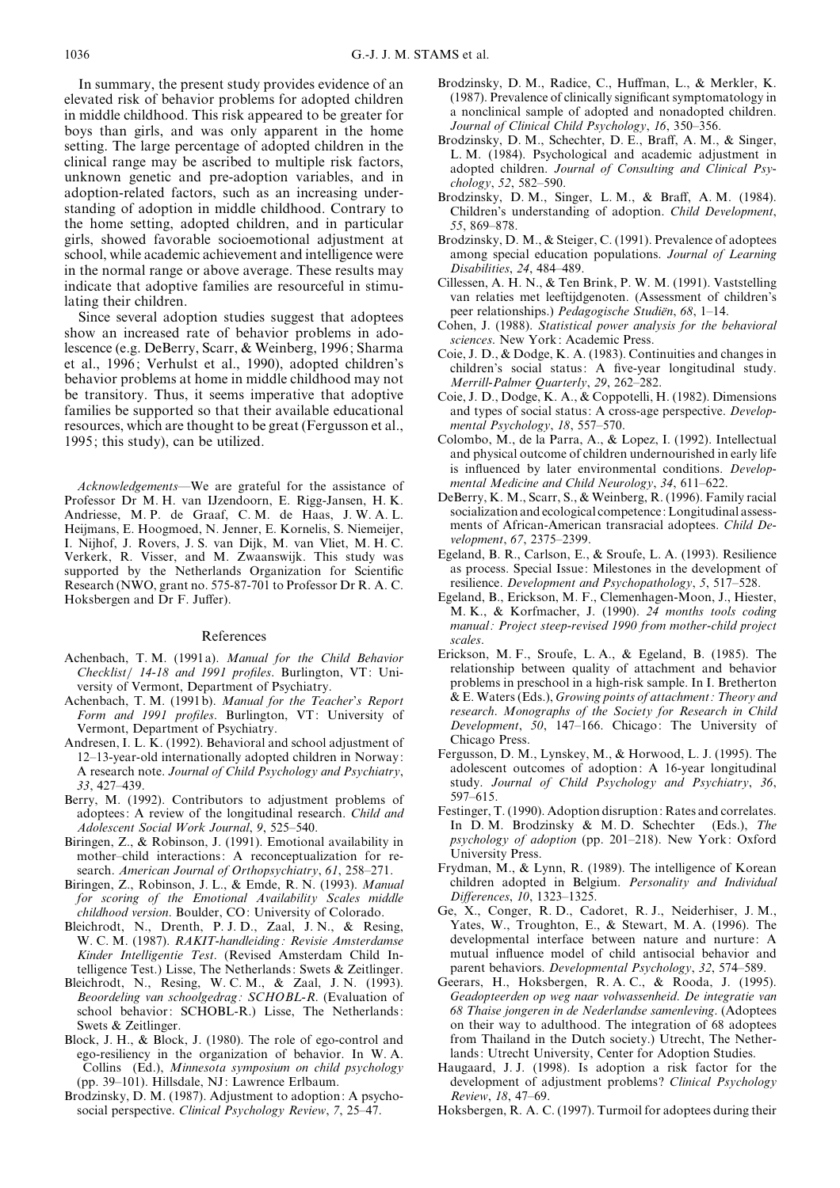In summary, the present study provides evidence of an elevated risk of behavior problems for adopted children in middle childhood. This risk appeared to be greater for boys than girls, and was only apparent in the home setting. The large percentage of adopted children in the clinical range may be ascribed to multiple risk factors, unknown genetic and pre-adoption variables, and in adoption-related factors, such as an increasing understanding of adoption in middle childhood. Contrary to the home setting, adopted children, and in particular girls, showed favorable socioemotional adjustment at school, while academic achievement and intelligence were in the normal range or above average. These results may indicate that adoptive families are resourceful in stimulating their children.

Since several adoption studies suggest that adoptees show an increased rate of behavior problems in adolescence (e.g. DeBerry, Scarr, & Weinberg, 1996; Sharma et al., 1996; Verhulst et al., 1990), adopted children's behavior problems at home in middle childhood may not be transitory. Thus, it seems imperative that adoptive families be supported so that their available educational resources, which are thought to be great (Fergusson et al., 1995; this study), can be utilized.

*Acknowledgements*—We are grateful for the assistance of Professor Dr M. H. van IJzendoorn, E. Rigg-Jansen, H. K. Andriesse, M. P. de Graaf, C. M. de Haas, J. W. A. L. Heijmans, E. Hoogmoed, N. Jenner, E. Kornelis, S. Niemeijer, I. Nijhof, J. Rovers, J. S. van Dijk, M. van Vliet, M. H. C. Verkerk, R. Visser, and M. Zwaanswijk. This study was supported by the Netherlands Organization for Scientific Research (NWO, grant no. 575-87-701 to Professor Dr R. A. C. Hoksbergen and Dr F. Juffer).

#### References

- Achenbach, T. M. (1991 a). *Manual for the Child Behavior Checklist*} *14-18 and 1991 profiles*. Burlington, VT: University of Vermont, Department of Psychiatry.
- Achenbach, T. M. (1991b). *Manual for the Teacher*'*s Report Form and 1991 profiles*. Burlington, VT: University of Vermont, Department of Psychiatry.
- Andresen, I. L. K. (1992). Behavioral and school adjustment of 12–13-year-old internationally adopted children in Norway: A research note. *Journal of Child Psychology and Psychiatry*, *33*, 427–439.
- Berry, M. (1992). Contributors to adjustment problems of adoptees: A review of the longitudinal research. *Child and Adolescent Social Work Journal*, *9*, 525–540.
- Biringen, Z., & Robinson, J. (1991). Emotional availability in mother–child interactions: A reconceptualization for research. *American Journal of Orthopsychiatry*, *61*, 258–271.
- Biringen, Z., Robinson, J. L., & Emde, R. N. (1993). *Manual for scoring of the Emotional Availability Scales middle childhood version*. Boulder, CO: University of Colorado.
- Bleichrodt, N., Drenth, P. J. D., Zaal, J. N., & Resing, W. C. M. (1987). *RAKIT*-*handleiding : Revisie Amsterdamse Kinder Intelligentie Test*. (Revised Amsterdam Child Intelligence Test.) Lisse, The Netherlands: Swets & Zeitlinger.
- Bleichrodt, N., Resing, W. C. M., & Zaal, J. N. (1993). *Beoordeling van schoolgedrag : SCHOBL*-*R*. (Evaluation of school behavior: SCHOBL-R.) Lisse, The Netherlands: Swets & Zeitlinger.
- Block, J. H., & Block, J. (1980). The role of ego-control and ego-resiliency in the organization of behavior. In W. A. Collins (Ed.), *Minnesota symposium on child psychology* (pp. 39–101). Hillsdale, NJ: Lawrence Erlbaum.
- Brodzinsky, D. M. (1987). Adjustment to adoption: A psychosocial perspective. *Clinical Psychology Review*, *7*, 25–47.
- Brodzinsky, D. M., Radice, C., Huffman, L., & Merkler, K. (1987). Prevalence of clinically significant symptomatology in a nonclinical sample of adopted and nonadopted children. *Journal of Clinical Child Psychology*, *16*, 350–356.
- Brodzinsky, D. M., Schechter, D. E., Braff, A. M., & Singer, L. M. (1984). Psychological and academic adjustment in adopted children. *Journal of Consulting and Clinical Psychology*, *52*, 582–590.
- Brodzinsky, D. M., Singer, L. M., & Braff, A. M. (1984). Children's understanding of adoption. *Child Development*, *55*, 869–878.
- Brodzinsky, D. M., & Steiger, C. (1991). Prevalence of adoptees among special education populations. *Journal of Learning Disabilities*, *24*, 484–489.
- Cillessen, A. H. N., & Ten Brink, P. W. M. (1991). Vaststelling van relaties met leeftijdgenoten. (Assessment of children's peer relationships.) *Pedagogische Studiën*, 68, 1-14.
- Cohen, J. (1988). *Statistical power analysis for the behavioral sciences*. New York: Academic Press.
- Coie, J. D., & Dodge, K. A. (1983). Continuities and changes in children's social status: A five-year longitudinal study. *Merrill*-*Palmer Quarterly*, *29*, 262–282.
- Coie, J. D., Dodge, K. A., & Coppotelli, H. (1982). Dimensions and types of social status: A cross-age perspective. *Developmental Psychology*, *18*, 557–570.
- Colombo, M., de la Parra, A., & Lopez, I. (1992). Intellectual and physical outcome of children undernourished in early life is influenced by later environmental conditions. *Developmental Medicine and Child Neurology*, *34*, 611–622.
- DeBerry, K. M., Scarr, S., & Weinberg, R. (1996). Family racial socialization and ecological competence: Longitudinal assessments of African-American transracial adoptees. *Child Development*, *67*, 2375–2399.
- Egeland, B. R., Carlson, E., & Sroufe, L. A. (1993). Resilience as process. Special Issue: Milestones in the development of resilience. *Development and Psychopathology*, *5*, 517–528.
- Egeland, B., Erickson, M. F., Clemenhagen-Moon, J., Hiester, M. K., & Korfmacher, J. (1990). *24 months tools coding manual : Project steep-revised 1990 from mother-child project scales*.
- Erickson, M. F., Sroufe, L. A., & Egeland, B. (1985). The relationship between quality of attachment and behavior problems in preschool in a high-risk sample. In I. Bretherton & E. Waters (Eds.), *Growing points of attachment : Theory and research*. *Monographs of the Society for Research in Child Development*, *50*, 147–166. Chicago: The University of Chicago Press.
- Fergusson, D. M., Lynskey, M., & Horwood, L. J. (1995). The adolescent outcomes of adoption: A 16-year longitudinal study. *Journal of Child Psychology and Psychiatry*, *36*, 597–615.
- Festinger, T. (1990). Adoption disruption: Rates and correlates. In D. M. Brodzinsky & M. D. Schechter (Eds.), *The psychology of adoption* (pp. 201–218). New York: Oxford University Press.
- Frydman, M., & Lynn, R. (1989). The intelligence of Korean children adopted in Belgium. *Personality and Individual Differences*, *10*, 1323–1325.
- Ge, X., Conger, R. D., Cadoret, R. J., Neiderhiser, J. M., Yates, W., Troughton, E., & Stewart, M. A. (1996). The developmental interface between nature and nurture: A mutual influence model of child antisocial behavior and parent behaviors. *Developmental Psychology*, *32*, 574–589.
- Geerars, H., Hoksbergen, R. A. C., & Rooda, J. (1995). *Geadopteerden op weg naar volwassenheid*. *De integratie van 68 Thaise jongeren in de Nederlandse samenleving*. (Adoptees on their way to adulthood. The integration of 68 adoptees from Thailand in the Dutch society.) Utrecht, The Netherlands: Utrecht University, Center for Adoption Studies.
- Haugaard, J. J. (1998). Is adoption a risk factor for the development of adjustment problems ? *Clinical Psychology Review*, *18*, 47–69.
- Hoksbergen, R. A. C. (1997). Turmoil for adoptees during their